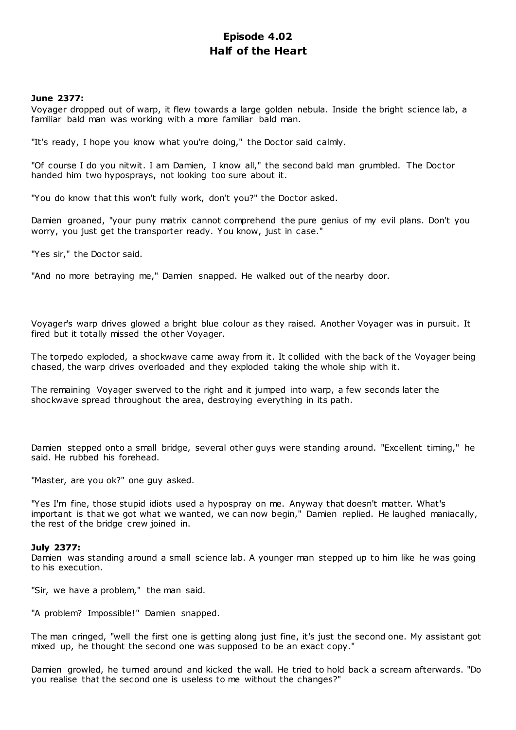# **Episode 4.02 Half of the Heart**

# **June 2377:**

Voyager dropped out of warp, it flew towards a large golden nebula. Inside the bright science lab, a familiar bald man was working with a more familiar bald man.

"It's ready, I hope you know what you're doing," the Doctor said calmly.

"Of course I do you nitwit. I am Damien, I know all," the second bald man grumbled. The Doctor handed him two hyposprays, not looking too sure about it.

"You do know that this won't fully work, don't you?" the Doctor asked.

Damien groaned, "your puny matrix cannot comprehend the pure genius of my evil plans. Don't you worry, you just get the transporter ready. You know, just in case."

"Yes sir," the Doctor said.

"And no more betraying me," Damien snapped. He walked out of the nearby door.

Voyager's warp drives glowed a bright blue colour as they raised. Another Voyager was in pursuit. It fired but it totally missed the other Voyager.

The torpedo exploded, a shockwave came away from it. It collided with the back of the Voyager being chased, the warp drives overloaded and they exploded taking the whole ship with it.

The remaining Voyager swerved to the right and it jumped into warp, a few seconds later the shockwave spread throughout the area, destroying everything in its path.

Damien stepped onto a small bridge, several other guys were standing around. "Excellent timing," he said. He rubbed his forehead.

"Master, are you ok?" one guy asked.

"Yes I'm fine, those stupid idiots used a hypospray on me. Anyway that doesn't matter. What's important is that we got what we wanted, we can now begin," Damien replied. He laughed maniacally, the rest of the bridge crew joined in.

# **July 2377:**

Damien was standing around a small science lab. A younger man stepped up to him like he was going to his execution.

"Sir, we have a problem," the man said.

"A problem? Impossible!" Damien snapped.

The man cringed, "well the first one is getting along just fine, it's just the second one. My assistant got mixed up, he thought the second one was supposed to be an exact copy."

Damien growled, he turned around and kicked the wall. He tried to hold back a scream afterwards. "Do you realise that the second one is useless to me without the changes?"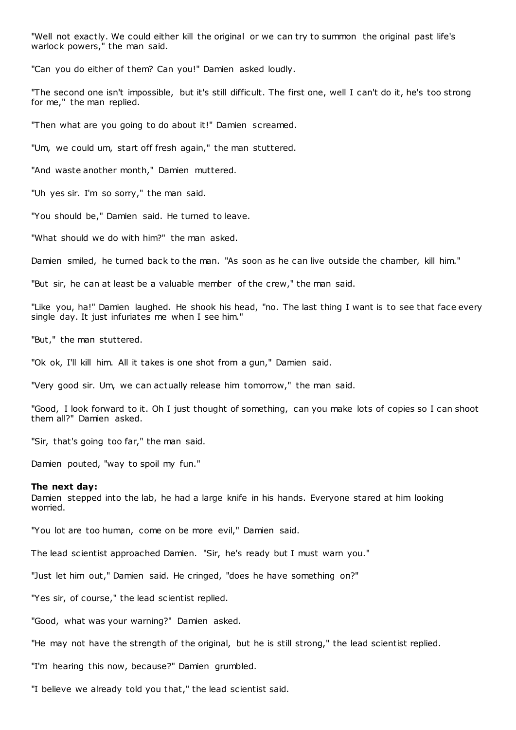"Well not exactly. We could either kill the original or we can try to summon the original past life's warlock powers," the man said.

"Can you do either of them? Can you!" Damien asked loudly.

"The second one isn't impossible, but it's still difficult. The first one, well I can't do it, he's too strong for me," the man replied.

"Then what are you going to do about it!" Damien screamed.

"Um, we could um, start off fresh again," the man stuttered.

"And waste another month," Damien muttered.

"Uh yes sir. I'm so sorry," the man said.

"You should be," Damien said. He turned to leave.

"What should we do with him?" the man asked.

Damien smiled, he turned back to the man. "As soon as he can live outside the chamber, kill him."

"But sir, he can at least be a valuable member of the crew," the man said.

"Like you, ha!" Damien laughed. He shook his head, "no. The last thing I want is to see that face every single day. It just infuriates me when I see him."

"But," the man stuttered.

"Ok ok, I'll kill him. All it takes is one shot from a gun," Damien said.

"Very good sir. Um, we can actually release him tomorrow," the man said.

"Good, I look forward to it. Oh I just thought of something, can you make lots of copies so I can shoot them all?" Damien asked.

"Sir, that's going too far," the man said.

Damien pouted, "way to spoil my fun."

#### **The next day:**

Damien stepped into the lab, he had a large knife in his hands. Everyone stared at him looking worried.

"You lot are too human, come on be more evil," Damien said.

The lead scientist approached Damien. "Sir, he's ready but I must warn you."

"Just let him out," Damien said. He cringed, "does he have something on?"

"Yes sir, of course," the lead scientist replied.

"Good, what was your warning?" Damien asked.

"He may not have the strength of the original, but he is still strong," the lead scientist replied.

"I'm hearing this now, because?" Damien grumbled.

"I believe we already told you that," the lead scientist said.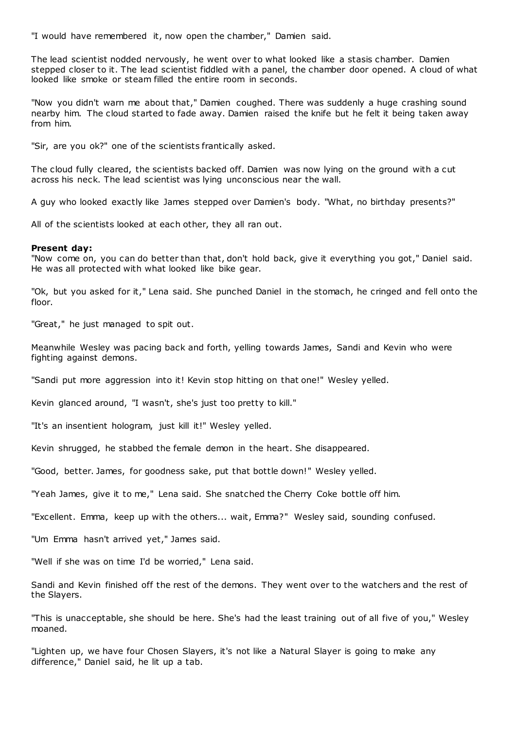"I would have remembered it, now open the chamber," Damien said.

The lead scientist nodded nervously, he went over to what looked like a stasis chamber. Damien stepped closer to it. The lead scientist fiddled with a panel, the chamber door opened. A cloud of what looked like smoke or steam filled the entire room in seconds.

"Now you didn't warn me about that," Damien coughed. There was suddenly a huge crashing sound nearby him. The cloud started to fade away. Damien raised the knife but he felt it being taken away from him.

"Sir, are you ok?" one of the scientists frantically asked.

The cloud fully cleared, the scientists backed off. Damien was now lying on the ground with a cut across his neck. The lead scientist was lying unconscious near the wall.

A guy who looked exactly like James stepped over Damien's body. "What, no birthday presents?"

All of the scientists looked at each other, they all ran out.

# **Present day:**

"Now come on, you can do better than that, don't hold back, give it everything you got," Daniel said. He was all protected with what looked like bike gear.

"Ok, but you asked for it," Lena said. She punched Daniel in the stomach, he cringed and fell onto the floor.

"Great," he just managed to spit out.

Meanwhile Wesley was pacing back and forth, yelling towards James, Sandi and Kevin who were fighting against demons.

"Sandi put more aggression into it! Kevin stop hitting on that one!" Wesley yelled.

Kevin glanced around, "I wasn't, she's just too pretty to kill."

"It's an insentient hologram, just kill it!" Wesley yelled.

Kevin shrugged, he stabbed the female demon in the heart. She disappeared.

"Good, better. James, for goodness sake, put that bottle down!" Wesley yelled.

"Yeah James, give it to me," Lena said. She snatched the Cherry Coke bottle off him.

"Excellent. Emma, keep up with the others... wait, Emma?" Wesley said, sounding confused.

"Um Emma hasn't arrived yet," James said.

"Well if she was on time I'd be worried," Lena said.

Sandi and Kevin finished off the rest of the demons. They went over to the watchers and the rest of the Slayers.

"This is unacceptable, she should be here. She's had the least training out of all five of you," Wesley moaned.

"Lighten up, we have four Chosen Slayers, it's not like a Natural Slayer is going to make any difference," Daniel said, he lit up a tab.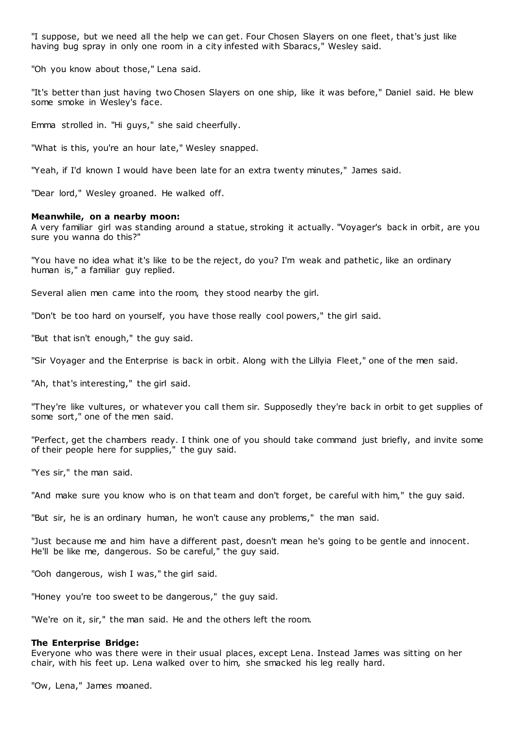"I suppose, but we need all the help we can get. Four Chosen Slayers on one fleet, that's just like having bug spray in only one room in a city infested with Sbaracs," Wesley said.

"Oh you know about those," Lena said.

"It's better than just having two Chosen Slayers on one ship, like it was before," Daniel said. He blew some smoke in Wesley's face.

Emma strolled in. "Hi guys," she said cheerfully.

"What is this, you're an hour late," Wesley snapped.

"Yeah, if I'd known I would have been late for an extra twenty minutes," James said.

"Dear lord," Wesley groaned. He walked off.

# **Meanwhile, on a nearby moon:**

A very familiar girl was standing around a statue, stroking it actually. "Voyager's back in orbit, are you sure you wanna do this?"

"You have no idea what it's like to be the reject, do you? I'm weak and pathetic, like an ordinary human is," a familiar guy replied.

Several alien men came into the room, they stood nearby the girl.

"Don't be too hard on yourself, you have those really cool powers," the girl said.

"But that isn't enough," the guy said.

"Sir Voyager and the Enterprise is back in orbit. Along with the Lillyia Fleet," one of the men said.

"Ah, that's interesting," the girl said.

"They're like vultures, or whatever you call them sir. Supposedly they're back in orbit to get supplies of some sort," one of the men said.

"Perfect, get the chambers ready. I think one of you should take command just briefly, and invite some of their people here for supplies," the guy said.

"Yes sir," the man said.

"And make sure you know who is on that team and don't forget, be careful with him," the guy said.

"But sir, he is an ordinary human, he won't cause any problems," the man said.

"Just because me and him have a different past, doesn't mean he's going to be gentle and innocent. He'll be like me, dangerous. So be careful," the guy said.

"Ooh dangerous, wish I was," the girl said.

"Honey you're too sweet to be dangerous," the guy said.

"We're on it, sir," the man said. He and the others left the room.

# **The Enterprise Bridge:**

Everyone who was there were in their usual places, except Lena. Instead James was sitting on her chair, with his feet up. Lena walked over to him, she smacked his leg really hard.

"Ow, Lena," James moaned.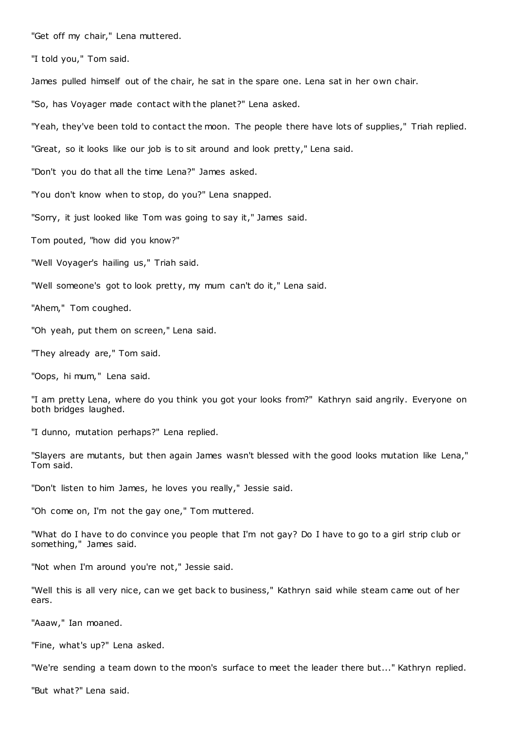"Get off my chair," Lena muttered.

"I told you," Tom said.

James pulled himself out of the chair, he sat in the spare one. Lena sat in her own chair.

"So, has Voyager made contact with the planet?" Lena asked.

"Yeah, they've been told to contact the moon. The people there have lots of supplies," Triah replied.

"Great, so it looks like our job is to sit around and look pretty," Lena said.

"Don't you do that all the time Lena?" James asked.

"You don't know when to stop, do you?" Lena snapped.

"Sorry, it just looked like Tom was going to say it," James said.

Tom pouted, "how did you know?"

"Well Voyager's hailing us," Triah said.

"Well someone's got to look pretty, my mum can't do it," Lena said.

"Ahem," Tom coughed.

"Oh yeah, put them on screen," Lena said.

"They already are," Tom said.

"Oops, hi mum," Lena said.

"I am pretty Lena, where do you think you got your looks from?" Kathryn said angrily. Everyone on both bridges laughed.

"I dunno, mutation perhaps?" Lena replied.

"Slayers are mutants, but then again James wasn't blessed with the good looks mutation like Lena," Tom said.

"Don't listen to him James, he loves you really," Jessie said.

"Oh come on, I'm not the gay one," Tom muttered.

"What do I have to do convince you people that I'm not gay? Do I have to go to a girl strip club or something," James said.

"Not when I'm around you're not," Jessie said.

"Well this is all very nice, can we get back to business," Kathryn said while steam came out of her ears.

"Aaaw," Ian moaned.

"Fine, what's up?" Lena asked.

"We're sending a team down to the moon's surface to meet the leader there but..." Kathryn replied.

"But what?" Lena said.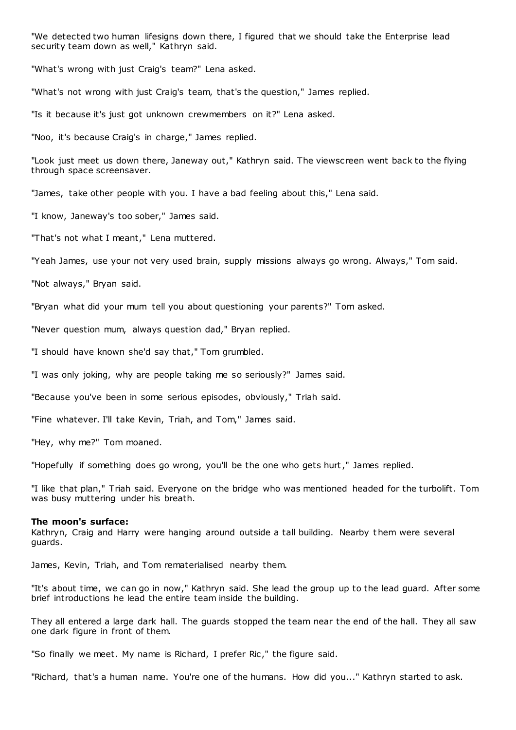"We detected two human lifesigns down there, I figured that we should take the Enterprise lead security team down as well," Kathryn said.

"What's wrong with just Craig's team?" Lena asked.

"What's not wrong with just Craig's team, that's the question," James replied.

"Is it because it's just got unknown crewmembers on it?" Lena asked.

"Noo, it's because Craig's in charge," James replied.

"Look just meet us down there, Janeway out," Kathryn said. The viewscreen went back to the flying through space screensaver.

"James, take other people with you. I have a bad feeling about this," Lena said.

"I know, Janeway's too sober," James said.

"That's not what I meant," Lena muttered.

"Yeah James, use your not very used brain, supply missions always go wrong. Always," Tom said.

"Not always," Bryan said.

"Bryan what did your mum tell you about questioning your parents?" Tom asked.

"Never question mum, always question dad," Bryan replied.

"I should have known she'd say that," Tom grumbled.

"I was only joking, why are people taking me so seriously?" James said.

"Because you've been in some serious episodes, obviously," Triah said.

"Fine whatever. I'll take Kevin, Triah, and Tom," James said.

"Hey, why me?" Tom moaned.

"Hopefully if something does go wrong, you'll be the one who gets hurt," James replied.

"I like that plan," Triah said. Everyone on the bridge who was mentioned headed for the turbolift. Tom was busy muttering under his breath.

#### **The moon's surface:**

Kathryn, Craig and Harry were hanging around outside a tall building. Nearby t hem were several guards.

James, Kevin, Triah, and Tom rematerialised nearby them.

"It's about time, we can go in now," Kathryn said. She lead the group up to the lead guard. After some brief introductions he lead the entire team inside the building.

They all entered a large dark hall. The guards stopped the team near the end of the hall. They all saw one dark figure in front of them.

"So finally we meet. My name is Richard, I prefer Ric ," the figure said.

"Richard, that's a human name. You're one of the humans. How did you..." Kathryn started to ask.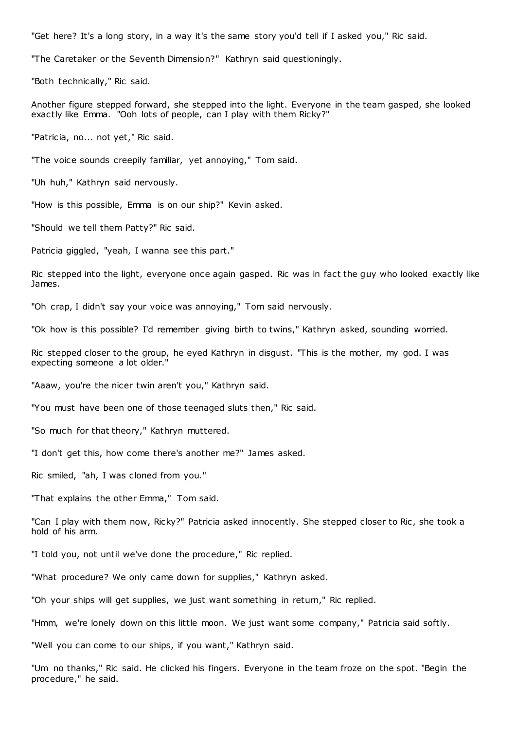"Get here? It's a long story, in a way it's the same story you'd tell if I asked you," Ric said.

"The Caretaker or the Seventh Dimension?" Kathryn said questioningly.

"Both technically," Ric said.

Another figure stepped forward, she stepped into the light. Everyone in the team gasped, she looked exactly like Emma. "Ooh lots of people, can I play with them Ricky?"

"Patricia, no... not yet," Ric said.

"The voice sounds creepily familiar, yet annoying," Tom said.

"Uh huh," Kathryn said nervously.

"How is this possible, Emma is on our ship?" Kevin asked.

"Should we tell them Patty?" Ric said.

Patricia giggled, "yeah, I wanna see this part."

Ric stepped into the light, everyone once again gasped. Ric was in fact the guy who looked exactly like James.

"Oh crap, I didn't say your voice was annoying," Tom said nervously.

"Ok how is this possible? I'd remember giving birth to twins," Kathryn asked, sounding worried.

Ric stepped closer to the group, he eyed Kathryn in disgust. "This is the mother, my god. I was expecting someone a lot older."

"Aaaw, you're the nicer twin aren't you," Kathryn said.

"You must have been one of those teenaged sluts then," Ric said.

"So much for that theory," Kathryn muttered.

"I don't get this, how come there's another me?" James asked.

Ric smiled, "ah, I was cloned from you."

"That explains the other Emma," Tom said.

"Can I play with them now, Ricky?" Patricia asked innocently. She stepped closer to Ric, she took a hold of his arm.

"I told you, not until we've done the procedure," Ric replied.

"What procedure? We only came down for supplies," Kathryn asked.

"Oh your ships will get supplies, we just want something in return," Ric replied.

"Hmm, we're lonely down on this little moon. We just want some company," Patricia said softly.

"Well you can come to our ships, if you want," Kathryn said.

"Um no thanks," Ric said. He clicked his fingers. Everyone in the team froze on the spot. "Begin the procedure," he said.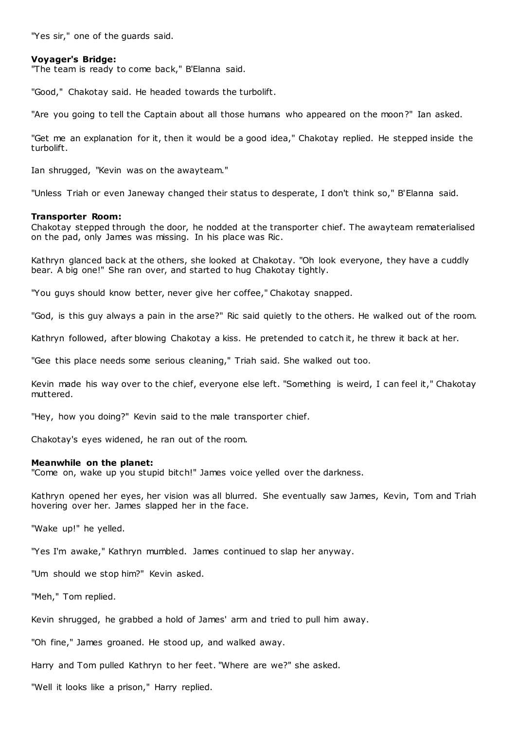"Yes sir," one of the guards said.

# **Voyager's Bridge:**

"The team is ready to come back," B'Elanna said.

"Good," Chakotay said. He headed towards the turbolift.

"Are you going to tell the Captain about all those humans who appeared on the moon?" Ian asked.

"Get me an explanation for it, then it would be a good idea," Chakotay replied. He stepped inside the turbolift.

Ian shrugged, "Kevin was on the awayteam."

"Unless Triah or even Janeway changed their status to desperate, I don't think so," B'Elanna said.

# **Transporter Room:**

Chakotay stepped through the door, he nodded at the transporter chief. The awayteam rematerialised on the pad, only James was missing. In his place was Ric .

Kathryn glanced back at the others, she looked at Chakotay. "Oh look everyone, they have a cuddly bear. A big one!" She ran over, and started to hug Chakotay tightly.

"You guys should know better, never give her coffee," Chakotay snapped.

"God, is this guy always a pain in the arse?" Ric said quietly to the others. He walked out of the room.

Kathryn followed, after blowing Chakotay a kiss. He pretended to catch it, he threw it back at her.

"Gee this place needs some serious cleaning," Triah said. She walked out too.

Kevin made his way over to the chief, everyone else left. "Something is weird, I can feel it," Chakotay muttered.

"Hey, how you doing?" Kevin said to the male transporter chief.

Chakotay's eyes widened, he ran out of the room.

# **Meanwhile on the planet:**

"Come on, wake up you stupid bitch!" James voice yelled over the darkness.

Kathryn opened her eyes, her vision was all blurred. She eventually saw James, Kevin, Tom and Triah hovering over her. James slapped her in the face.

"Wake up!" he yelled.

"Yes I'm awake," Kathryn mumbled. James continued to slap her anyway.

"Um should we stop him?" Kevin asked.

"Meh," Tom replied.

Kevin shrugged, he grabbed a hold of James' arm and tried to pull him away.

"Oh fine," James groaned. He stood up, and walked away.

Harry and Tom pulled Kathryn to her feet. "Where are we?" she asked.

"Well it looks like a prison," Harry replied.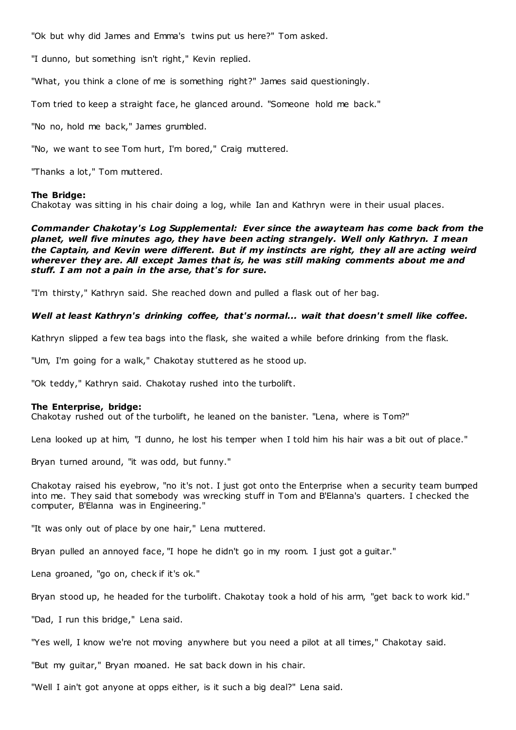"Ok but why did James and Emma's twins put us here?" Tom asked.

"I dunno, but something isn't right," Kevin replied.

"What, you think a clone of me is something right?" James said questioningly.

Tom tried to keep a straight face, he glanced around. "Someone hold me back."

"No no, hold me back," James grumbled.

"No, we want to see Tom hurt, I'm bored," Craig muttered.

"Thanks a lot," Tom muttered.

# **The Bridge:**

Chakotay was sitting in his chair doing a log, while Ian and Kathryn were in their usual places.

*Commander Chakotay's Log Supplemental: Ever since the awayteam has come back from the planet, well five minutes ago, they have been acting strangely. Well only Kathryn. I mean the Captain, and Kevin were different. But if my instincts are right, they all are acting weird wherever they are. All except James that is, he was still making comments about me and stuff. I am not a pain in the arse, that's for sure.*

"I'm thirsty," Kathryn said. She reached down and pulled a flask out of her bag.

# *Well at least Kathryn's drinking coffee, that's normal... wait that doesn't smell like coffee.*

Kathryn slipped a few tea bags into the flask, she waited a while before drinking from the flask.

"Um, I'm going for a walk," Chakotay stuttered as he stood up.

"Ok teddy," Kathryn said. Chakotay rushed into the turbolift.

# **The Enterprise, bridge:**

Chakotay rushed out of the turbolift, he leaned on the banister. "Lena, where is Tom?"

Lena looked up at him, "I dunno, he lost his temper when I told him his hair was a bit out of place."

Bryan turned around, "it was odd, but funny."

Chakotay raised his eyebrow, "no it's not. I just got onto the Enterprise when a security team bumped into me. They said that somebody was wrecking stuff in Tom and B'Elanna's quarters. I checked the computer, B'Elanna was in Engineering."

"It was only out of place by one hair," Lena muttered.

Bryan pulled an annoyed face, "I hope he didn't go in my room. I just got a guitar."

Lena groaned, "go on, check if it's ok."

Bryan stood up, he headed for the turbolift. Chakotay took a hold of his arm, "get back to work kid."

"Dad, I run this bridge," Lena said.

"Yes well, I know we're not moving anywhere but you need a pilot at all times," Chakotay said.

"But my guitar," Bryan moaned. He sat back down in his chair.

"Well I ain't got anyone at opps either, is it such a big deal?" Lena said.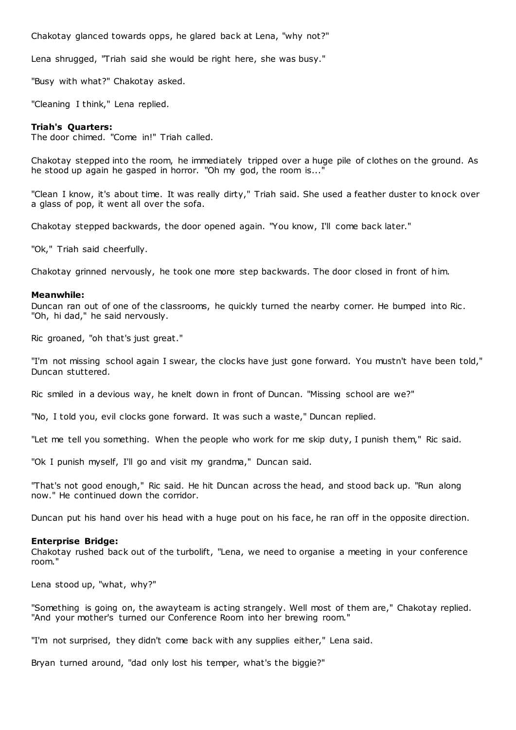Chakotay glanced towards opps, he glared back at Lena, "why not?"

Lena shrugged, "Triah said she would be right here, she was busy."

"Busy with what?" Chakotay asked.

"Cleaning I think," Lena replied.

# **Triah's Quarters:**

The door chimed. "Come in!" Triah called.

Chakotay stepped into the room, he immediately tripped over a huge pile of clothes on the ground. As he stood up again he gasped in horror. "Oh my god, the room is...

"Clean I know, it's about time. It was really dirty," Triah said. She used a feather duster to knock over a glass of pop, it went all over the sofa.

Chakotay stepped backwards, the door opened again. "You know, I'll come back later."

"Ok," Triah said cheerfully.

Chakotay grinned nervously, he took one more step backwards. The door closed in front of him.

# **Meanwhile:**

Duncan ran out of one of the classrooms, he quickly turned the nearby corner. He bumped into Ric . "Oh, hi dad," he said nervously.

Ric groaned, "oh that's just great."

"I'm not missing school again I swear, the clocks have just gone forward. You mustn't have been told," Duncan stuttered.

Ric smiled in a devious way, he knelt down in front of Duncan. "Missing school are we?"

"No, I told you, evil clocks gone forward. It was such a waste," Duncan replied.

"Let me tell you something. When the people who work for me skip duty, I punish them," Ric said.

"Ok I punish myself, I'll go and visit my grandma," Duncan said.

"That's not good enough," Ric said. He hit Duncan across the head, and stood back up. "Run along now." He continued down the corridor.

Duncan put his hand over his head with a huge pout on his face, he ran off in the opposite direction.

# **Enterprise Bridge:**

Chakotay rushed back out of the turbolift, "Lena, we need to organise a meeting in your conference room."

Lena stood up, "what, why?"

"Something is going on, the awayteam is acting strangely. Well most of them are," Chakotay replied. "And your mother's turned our Conference Room into her brewing room."

"I'm not surprised, they didn't come back with any supplies either," Lena said.

Bryan turned around, "dad only lost his temper, what's the biggie?"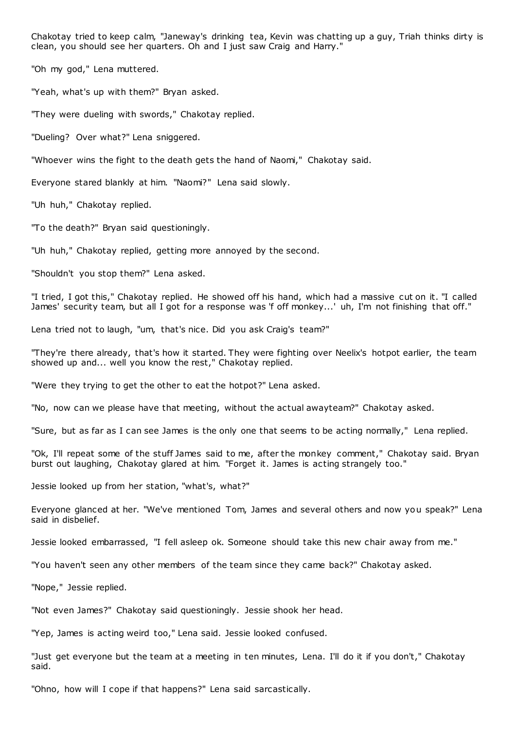Chakotay tried to keep calm, "Janeway's drinking tea, Kevin was chatting up a guy, Triah thinks dirty is clean, you should see her quarters. Oh and I just saw Craig and Harry."

"Oh my god," Lena muttered.

"Yeah, what's up with them?" Bryan asked.

"They were dueling with swords," Chakotay replied.

"Dueling? Over what?" Lena sniggered.

"Whoever wins the fight to the death gets the hand of Naomi," Chakotay said.

Everyone stared blankly at him. "Naomi?" Lena said slowly.

"Uh huh," Chakotay replied.

"To the death?" Bryan said questioningly.

"Uh huh," Chakotay replied, getting more annoyed by the second.

"Shouldn't you stop them?" Lena asked.

"I tried, I got this," Chakotay replied. He showed off his hand, which had a massive cut on it. "I called James' security team, but all I got for a response was 'f off monkey...' uh, I'm not finishing that off."

Lena tried not to laugh, "um, that's nice. Did you ask Craig's team?"

"They're there already, that's how it started. They were fighting over Neelix's hotpot earlier, the team showed up and... well you know the rest," Chakotay replied.

"Were they trying to get the other to eat the hotpot?" Lena asked.

"No, now can we please have that meeting, without the actual awayteam?" Chakotay asked.

"Sure, but as far as I can see James is the only one that seems to be acting normally," Lena replied.

"Ok, I'll repeat some of the stuff James said to me, after the monkey comment," Chakotay said. Bryan burst out laughing, Chakotay glared at him. "Forget it. James is acting strangely too."

Jessie looked up from her station, "what's, what?"

Everyone glanced at her. "We've mentioned Tom, James and several others and now you speak?" Lena said in disbelief.

Jessie looked embarrassed, "I fell asleep ok. Someone should take this new chair away from me."

"You haven't seen any other members of the team since they came back?" Chakotay asked.

"Nope," Jessie replied.

"Not even James?" Chakotay said questioningly. Jessie shook her head.

"Yep, James is acting weird too," Lena said. Jessie looked confused.

"Just get everyone but the team at a meeting in ten minutes, Lena. I'll do it if you don't," Chakotay said.

"Ohno, how will I cope if that happens?" Lena said sarcastically.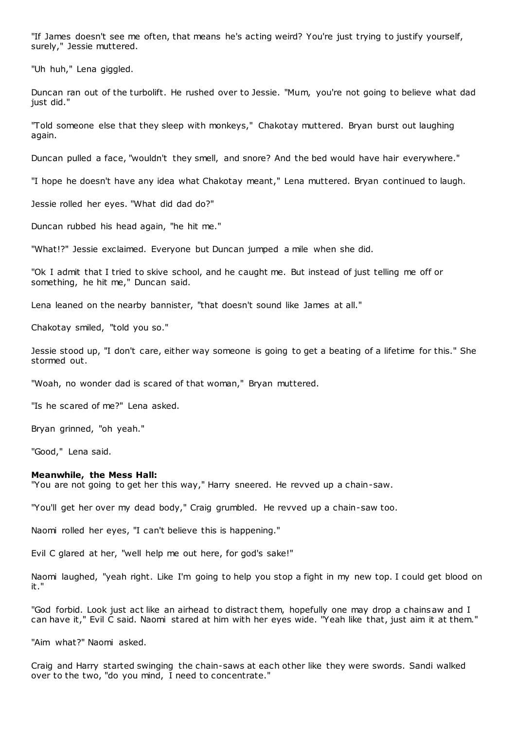"If James doesn't see me often, that means he's acting weird? You're just trying to justify yourself, surely," Jessie muttered.

"Uh huh," Lena giggled.

Duncan ran out of the turbolift. He rushed over to Jessie. "Mum, you're not going to believe what dad just did."

"Told someone else that they sleep with monkeys," Chakotay muttered. Bryan burst out laughing again.

Duncan pulled a face, "wouldn't they smell, and snore? And the bed would have hair everywhere."

"I hope he doesn't have any idea what Chakotay meant," Lena muttered. Bryan continued to laugh.

Jessie rolled her eyes. "What did dad do?"

Duncan rubbed his head again, "he hit me."

"What!?" Jessie exclaimed. Everyone but Duncan jumped a mile when she did.

"Ok I admit that I tried to skive school, and he caught me. But instead of just telling me off or something, he hit me," Duncan said.

Lena leaned on the nearby bannister, "that doesn't sound like James at all."

Chakotay smiled, "told you so."

Jessie stood up, "I don't care, either way someone is going to get a beating of a lifetime for this." She stormed out.

"Woah, no wonder dad is scared of that woman," Bryan muttered.

"Is he scared of me?" Lena asked.

Bryan grinned, "oh yeah."

"Good," Lena said.

#### **Meanwhile, the Mess Hall:**

"You are not going to get her this way," Harry sneered. He revved up a chain-saw.

"You'll get her over my dead body," Craig grumbled. He revved up a chain-saw too.

Naomi rolled her eyes, "I can't believe this is happening."

Evil C glared at her, "well help me out here, for god's sake!"

Naomi laughed, "yeah right. Like I'm going to help you stop a fight in my new top. I could get blood on it."

"God forbid. Look just act like an airhead to distract them, hopefully one may drop a chainsaw and I can have it," Evil C said. Naomi stared at him with her eyes wide. "Yeah like that, just aim it at them."

"Aim what?" Naomi asked.

Craig and Harry started swinging the chain-saws at each other like they were swords. Sandi walked over to the two, "do you mind, I need to concentrate."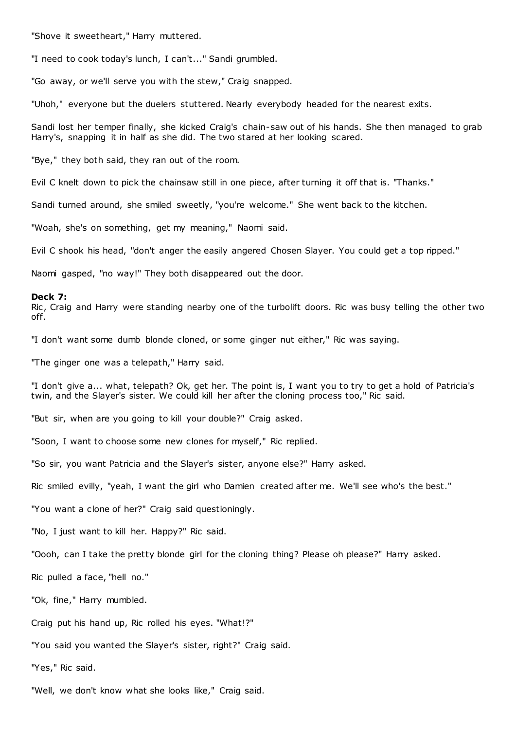"Shove it sweetheart," Harry muttered.

"I need to cook today's lunch, I can't..." Sandi grumbled.

"Go away, or we'll serve you with the stew," Craig snapped.

"Uhoh," everyone but the duelers stuttered. Nearly everybody headed for the nearest exits.

Sandi lost her temper finally, she kicked Craig's chain-saw out of his hands. She then managed to grab Harry's, snapping it in half as she did. The two stared at her looking scared.

"Bye," they both said, they ran out of the room.

Evil C knelt down to pick the chainsaw still in one piece, after turning it off that is. "Thanks."

Sandi turned around, she smiled sweetly, "you're welcome." She went back to the kitchen.

"Woah, she's on something, get my meaning," Naomi said.

Evil C shook his head, "don't anger the easily angered Chosen Slayer. You could get a top ripped."

Naomi gasped, "no way!" They both disappeared out the door.

#### **Deck 7:**

Ric, Craig and Harry were standing nearby one of the turbolift doors. Ric was busy telling the other two off.

"I don't want some dumb blonde cloned, or some ginger nut either," Ric was saying.

"The ginger one was a telepath," Harry said.

"I don't give a... what, telepath? Ok, get her. The point is, I want you to try to get a hold of Patricia's twin, and the Slayer's sister. We could kill her after the cloning process too," Ric said.

"But sir, when are you going to kill your double?" Craig asked.

"Soon, I want to choose some new clones for myself," Ric replied.

"So sir, you want Patricia and the Slayer's sister, anyone else?" Harry asked.

Ric smiled evilly, "yeah, I want the girl who Damien created after me. We'll see who's the best."

"You want a clone of her?" Craig said questioningly.

"No, I just want to kill her. Happy?" Ric said.

"Oooh, can I take the pretty blonde girl for the cloning thing? Please oh please?" Harry asked.

Ric pulled a face, "hell no."

"Ok, fine," Harry mumbled.

Craig put his hand up, Ric rolled his eyes. "What!?"

"You said you wanted the Slayer's sister, right?" Craig said.

"Yes," Ric said.

"Well, we don't know what she looks like," Craig said.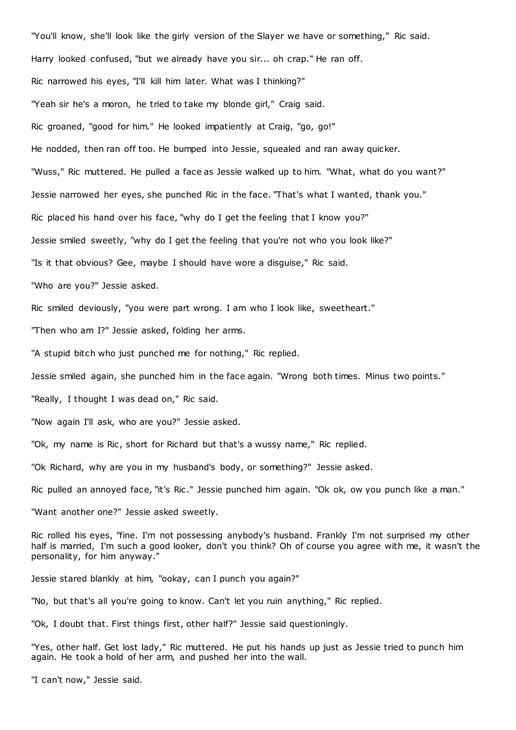"You'll know, she'll look like the girly version of the Slayer we have or something," Ric said. Harry looked confused, "but we already have you sir... oh crap." He ran off. Ric narrowed his eyes, "I'll kill him later. What was I thinking?" "Yeah sir he's a moron, he tried to take my blonde girl," Craig said. Ric groaned, "good for him." He looked impatiently at Craig, "go, go!" He nodded, then ran off too. He bumped into Jessie, squealed and ran away quicker. "Wuss," Ric muttered. He pulled a face as Jessie walked up to him. "What, what do you want?" Jessie narrowed her eyes, she punched Ric in the face. "That's what I wanted, thank you." Ric placed his hand over his face, "why do I get the feeling that I know you?" Jessie smiled sweetly, "why do I get the feeling that you're not who you look like?" "Is it that obvious? Gee, maybe I should have wore a disguise," Ric said. "Who are you?" Jessie asked. Ric smiled deviously, "you were part wrong. I am who I look like, sweetheart." "Then who am I?" Jessie asked, folding her arms. "A stupid bitch who just punched me for nothing," Ric replied. Jessie smiled again, she punched him in the face again. "Wrong both times. Minus two points." "Really, I thought I was dead on," Ric said. "Now again I'll ask, who are you?" Jessie asked. "Ok, my name is Ric, short for Richard but that's a wussy name," Ric replied. "Ok Richard, why are you in my husband's body, or something?" Jessie asked. Ric pulled an annoyed face, "it's Ric ." Jessie punched him again. "Ok ok, ow you punch like a man." "Want another one?" Jessie asked sweetly.

Ric rolled his eyes, "fine. I'm not possessing anybody's husband. Frankly I'm not surprised my other half is married, I'm such a good looker, don't you think? Oh of course you agree with me, it wasn't the personality, for him anyway."

Jessie stared blankly at him, "ookay, can I punch you again?"

"No, but that's all you're going to know. Can't let you ruin anything," Ric replied.

"Ok, I doubt that. First things first, other half?" Jessie said questioningly.

"Yes, other half. Get lost lady," Ric muttered. He put his hands up just as Jessie tried to punch him again. He took a hold of her arm, and pushed her into the wall.

"I can't now," Jessie said.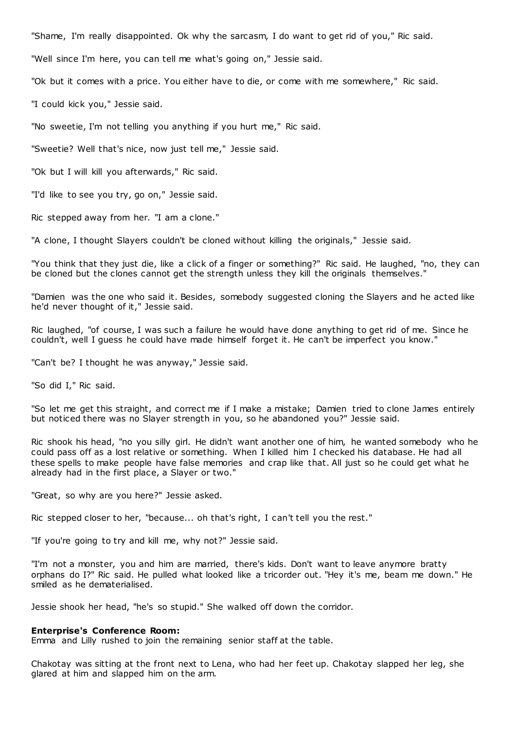"Shame, I'm really disappointed. Ok why the sarcasm, I do want to get rid of you," Ric said.

"Well since I'm here, you can tell me what's going on," Jessie said.

"Ok but it comes with a price. You either have to die, or come with me somewhere," Ric said.

"I could kick you," Jessie said.

"No sweetie, I'm not telling you anything if you hurt me," Ric said.

"Sweetie? Well that's nice, now just tell me," Jessie said.

"Ok but I will kill you afterwards," Ric said.

"I'd like to see you try, go on," Jessie said.

Ric stepped away from her. "I am a clone."

"A clone, I thought Slayers couldn't be cloned without killing the originals," Jessie said.

"You think that they just die, like a click of a finger or something?" Ric said. He laughed, "no, they can be cloned but the clones cannot get the strength unless they kill the originals themselves."

"Damien was the one who said it. Besides, somebody suggested cloning the Slayers and he acted like he'd never thought of it," Jessie said.

Ric laughed, "of course, I was such a failure he would have done anything to get rid of me. Since he couldn't, well I guess he could have made himself forget it. He can't be imperfect you know."

"Can't be? I thought he was anyway," Jessie said.

"So did I," Ric said.

"So let me get this straight, and correct me if I make a mistake; Damien tried to clone James entirely but noticed there was no Slayer strength in you, so he abandoned you?" Jessie said.

Ric shook his head, "no you silly girl. He didn't want another one of him, he wanted somebody who he could pass off as a lost relative or something. When I killed him I checked his database. He had all these spells to make people have false memories and crap like that. All just so he could get what he already had in the first place, a Slayer or two."

"Great, so why are you here?" Jessie asked.

Ric stepped closer to her, "because... oh that's right, I can't tell you the rest."

"If you're going to try and kill me, why not?" Jessie said.

"I'm not a monster, you and him are married, there's kids. Don't want to leave anymore bratty orphans do I?" Ric said. He pulled what looked like a tricorder out. "Hey it's me, beam me down." He smiled as he dematerialised.

Jessie shook her head, "he's so stupid." She walked off down the corridor.

# **Enterprise's Conference Room:**

Emma and Lilly rushed to join the remaining senior staff at the table.

Chakotay was sitting at the front next to Lena, who had her feet up. Chakotay slapped her leg, she glared at him and slapped him on the arm.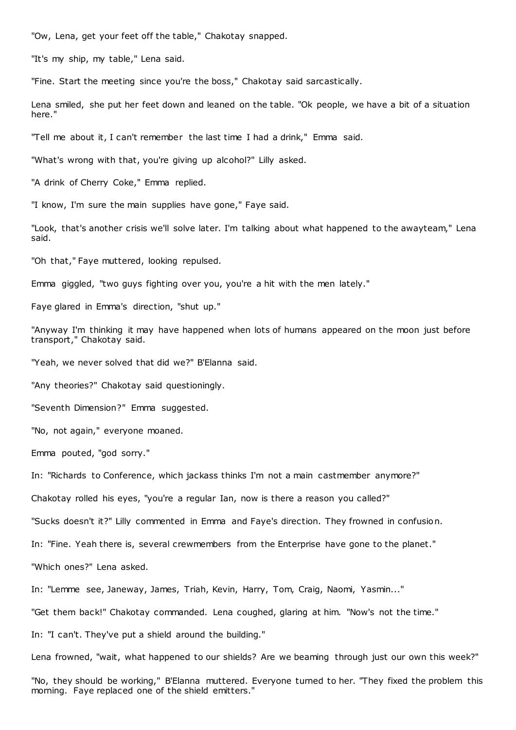"Ow, Lena, get your feet off the table," Chakotay snapped.

"It's my ship, my table," Lena said.

"Fine. Start the meeting since you're the boss," Chakotay said sarcastically.

Lena smiled, she put her feet down and leaned on the table. "Ok people, we have a bit of a situation here."

"Tell me about it, I can't remember the last time I had a drink," Emma said.

"What's wrong with that, you're giving up alcohol?" Lilly asked.

"A drink of Cherry Coke," Emma replied.

"I know, I'm sure the main supplies have gone," Faye said.

"Look, that's another crisis we'll solve later. I'm talking about what happened to the awayteam," Lena said.

"Oh that," Faye muttered, looking repulsed.

Emma giggled, "two guys fighting over you, you're a hit with the men lately."

Faye glared in Emma's direction, "shut up."

"Anyway I'm thinking it may have happened when lots of humans appeared on the moon just before transport," Chakotay said.

"Yeah, we never solved that did we?" B'Elanna said.

"Any theories?" Chakotay said questioningly.

"Seventh Dimension?" Emma suggested.

"No, not again," everyone moaned.

Emma pouted, "god sorry."

In: "Richards to Conference, which jackass thinks I'm not a main castmember anymore?"

Chakotay rolled his eyes, "you're a regular Ian, now is there a reason you called?"

"Sucks doesn't it?" Lilly commented in Emma and Faye's direction. They frowned in confusion.

In: "Fine. Yeah there is, several crewmembers from the Enterprise have gone to the planet."

"Which ones?" Lena asked.

In: "Lemme see, Janeway, James, Triah, Kevin, Harry, Tom, Craig, Naomi, Yasmin..."

"Get them back!" Chakotay commanded. Lena coughed, glaring at him. "Now's not the time."

In: "I can't. They've put a shield around the building."

Lena frowned, "wait, what happened to our shields? Are we beaming through just our own this week?"

"No, they should be working," B'Elanna muttered. Everyone turned to her. "They fixed the problem this morning. Faye replaced one of the shield emitters."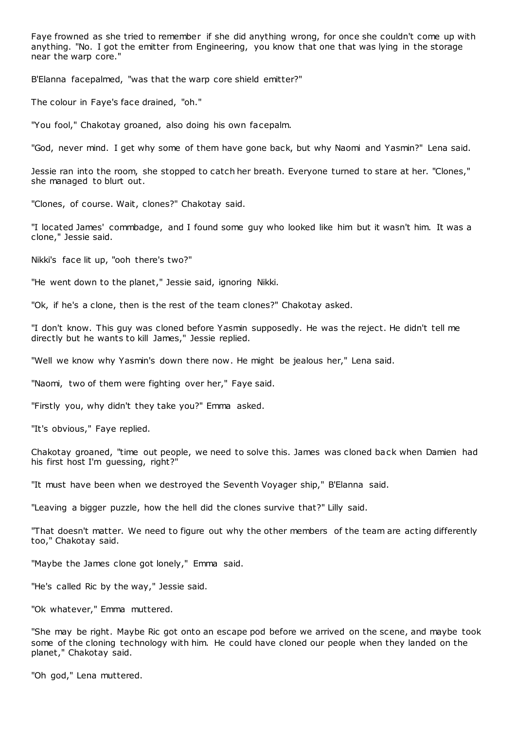Faye frowned as she tried to remember if she did anything wrong, for once she couldn't come up with anything. "No. I got the emitter from Engineering, you know that one that was lying in the storage near the warp core."

B'Elanna facepalmed, "was that the warp core shield emitter?"

The colour in Faye's face drained, "oh."

"You fool," Chakotay groaned, also doing his own facepalm.

"God, never mind. I get why some of them have gone back, but why Naomi and Yasmin?" Lena said.

Jessie ran into the room, she stopped to catch her breath. Everyone turned to stare at her. "Clones," she managed to blurt out.

"Clones, of course. Wait, clones?" Chakotay said.

"I located James' commbadge, and I found some guy who looked like him but it wasn't him. It was a clone," Jessie said.

Nikki's face lit up, "ooh there's two?"

"He went down to the planet," Jessie said, ignoring Nikki.

"Ok, if he's a clone, then is the rest of the team clones?" Chakotay asked.

"I don't know. This guy was cloned before Yasmin supposedly. He was the reject. He didn't tell me directly but he wants to kill James," Jessie replied.

"Well we know why Yasmin's down there now. He might be jealous her," Lena said.

"Naomi, two of them were fighting over her," Faye said.

"Firstly you, why didn't they take you?" Emma asked.

"It's obvious," Faye replied.

Chakotay groaned, "time out people, we need to solve this. James was cloned back when Damien had his first host I'm guessing, right?"

"It must have been when we destroyed the Seventh Voyager ship," B'Elanna said.

"Leaving a bigger puzzle, how the hell did the clones survive that?" Lilly said.

"That doesn't matter. We need to figure out why the other members of the team are acting differently too," Chakotay said.

"Maybe the James clone got lonely," Emma said.

"He's called Ric by the way," Jessie said.

"Ok whatever," Emma muttered.

"She may be right. Maybe Ric got onto an escape pod before we arrived on the scene, and maybe took some of the cloning technology with him. He could have cloned our people when they landed on the planet," Chakotay said.

"Oh god," Lena muttered.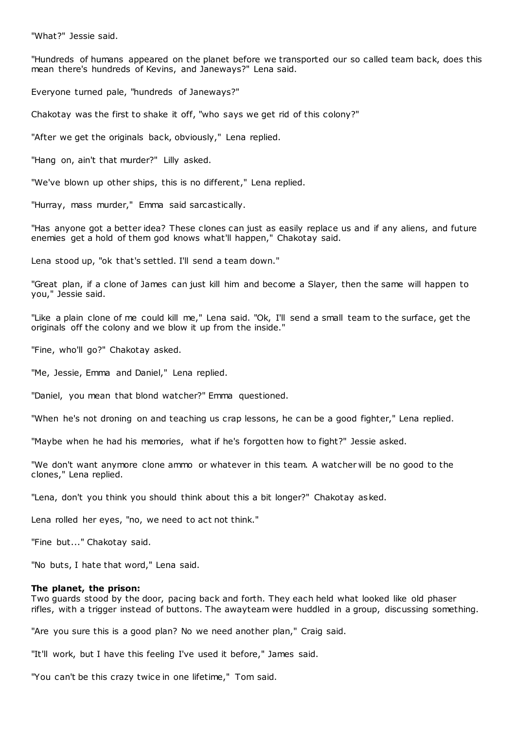"What?" Jessie said.

"Hundreds of humans appeared on the planet before we transported our so called team back, does this mean there's hundreds of Kevins, and Janeways?" Lena said.

Everyone turned pale, "hundreds of Janeways?"

Chakotay was the first to shake it off, "who says we get rid of this colony?"

"After we get the originals back, obviously," Lena replied.

"Hang on, ain't that murder?" Lilly asked.

"We've blown up other ships, this is no different," Lena replied.

"Hurray, mass murder," Emma said sarcastically.

"Has anyone got a better idea? These clones can just as easily replace us and if any aliens, and future enemies get a hold of them god knows what'll happen," Chakotay said.

Lena stood up, "ok that's settled. I'll send a team down."

"Great plan, if a clone of James can just kill him and become a Slayer, then the same will happen to you," Jessie said.

"Like a plain clone of me could kill me," Lena said. "Ok, I'll send a small team to the surface, get the originals off the colony and we blow it up from the inside."

"Fine, who'll go?" Chakotay asked.

"Me, Jessie, Emma and Daniel," Lena replied.

"Daniel, you mean that blond watcher?" Emma questioned.

"When he's not droning on and teaching us crap lessons, he can be a good fighter," Lena replied.

"Maybe when he had his memories, what if he's forgotten how to fight?" Jessie asked.

"We don't want anymore clone ammo or whatever in this team. A watcher will be no good to the clones," Lena replied.

"Lena, don't you think you should think about this a bit longer?" Chakotay asked.

Lena rolled her eyes, "no, we need to act not think."

"Fine but..." Chakotay said.

"No buts, I hate that word," Lena said.

#### **The planet, the prison:**

Two guards stood by the door, pacing back and forth. They each held what looked like old phaser rifles, with a trigger instead of buttons. The awayteam were huddled in a group, discussing something.

"Are you sure this is a good plan? No we need another plan," Craig said.

"It'll work, but I have this feeling I've used it before," James said.

"You can't be this crazy twice in one lifetime," Tom said.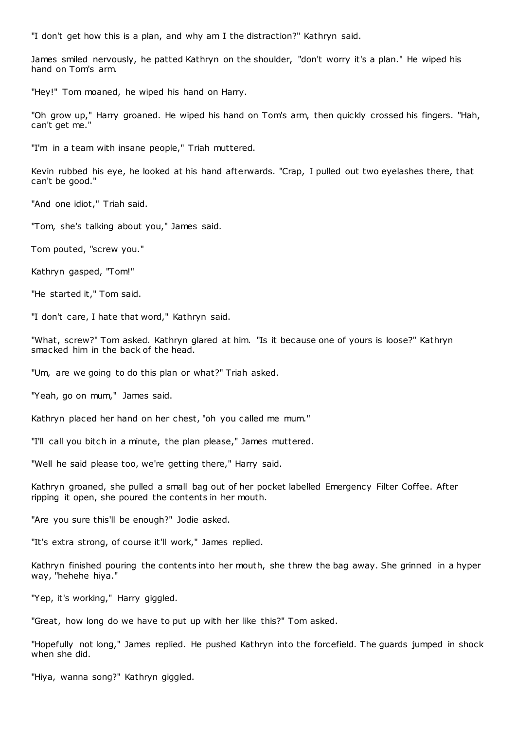"I don't get how this is a plan, and why am I the distraction?" Kathryn said.

James smiled nervously, he patted Kathryn on the shoulder, "don't worry it's a plan." He wiped his hand on Tom's arm.

"Hey!" Tom moaned, he wiped his hand on Harry.

"Oh grow up," Harry groaned. He wiped his hand on Tom's arm, then quickly crossed his fingers. "Hah, can't get me."

"I'm in a team with insane people," Triah muttered.

Kevin rubbed his eye, he looked at his hand afterwards. "Crap, I pulled out two eyelashes there, that can't be good."

"And one idiot," Triah said.

"Tom, she's talking about you," James said.

Tom pouted, "screw you."

Kathryn gasped, "Tom!"

"He started it," Tom said.

"I don't care, I hate that word," Kathryn said.

"What, screw?" Tom asked. Kathryn glared at him. "Is it because one of yours is loose?" Kathryn smacked him in the back of the head.

"Um, are we going to do this plan or what?" Triah asked.

"Yeah, go on mum," James said.

Kathryn placed her hand on her chest, "oh you called me mum."

"I'll call you bitch in a minute, the plan please," James muttered.

"Well he said please too, we're getting there," Harry said.

Kathryn groaned, she pulled a small bag out of her pocket labelled Emergency Filter Coffee. After ripping it open, she poured the contents in her mouth.

"Are you sure this'll be enough?" Jodie asked.

"It's extra strong, of course it'll work," James replied.

Kathryn finished pouring the contents into her mouth, she threw the bag away. She grinned in a hyper way, "hehehe hiya."

"Yep, it's working," Harry giggled.

"Great, how long do we have to put up with her like this?" Tom asked.

"Hopefully not long," James replied. He pushed Kathryn into the forcefield. The guards jumped in shock when she did.

"Hiya, wanna song?" Kathryn giggled.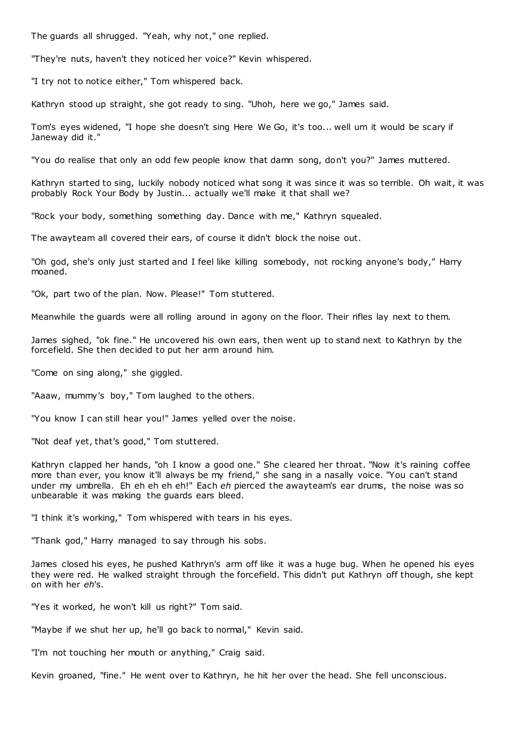The guards all shrugged. "Yeah, why not," one replied.

"They're nuts, haven't they noticed her voice?" Kevin whispered.

"I try not to notice either," Tom whispered back.

Kathryn stood up straight, she got ready to sing. "Uhoh, here we go," James said.

Tom's eyes widened, "I hope she doesn't sing Here We Go, it's too... well um it would be scary if Janeway did it."

"You do realise that only an odd few people know that damn song, don't you?" James muttered.

Kathryn started to sing, luckily nobody noticed what song it was since it was so terrible. Oh wait, it was probably Rock Your Body by Justin... actually we'll make it that shall we?

"Rock your body, something something day. Dance with me," Kathryn squealed.

The awayteam all covered their ears, of course it didn't block the noise out.

"Oh god, she's only just started and I feel like killing somebody, not rocking anyone's body," Harry moaned.

"Ok, part two of the plan. Now. Please!" Tom stuttered.

Meanwhile the guards were all rolling around in agony on the floor. Their rifles lay next to them.

James sighed, "ok fine." He uncovered his own ears, then went up to stand next to Kathryn by the forcefield. She then decided to put her arm around him.

"Come on sing along," she giggled.

"Aaaw, mummy's boy," Tom laughed to the others.

"You know I can still hear you!" James yelled over the noise.

"Not deaf yet, that's good," Tom stuttered.

Kathryn clapped her hands, "oh I know a good one." She c leared her throat. "Now it's raining coffee more than ever, you know it'll always be my friend," she sang in a nasally voice. "You can't stand under my umbrella. Eh eh eh eh eh!" Each eh pierced the awayteam's ear drums, the noise was so unbearable it was making the guards ears bleed.

"I think it's working," Tom whispered with tears in his eyes.

"Thank god," Harry managed to say through his sobs.

James closed his eyes, he pushed Kathryn's arm off like it was a huge bug. When he opened his eyes they were red. He walked straight through the forcefield. This didn't put Kathryn off though, she kept on with her *eh*'s.

"Yes it worked, he won't kill us right?" Tom said.

"Maybe if we shut her up, he'll go back to normal," Kevin said.

"I'm not touching her mouth or anything," Craig said.

Kevin groaned, "fine." He went over to Kathryn, he hit her over the head. She fell unconscious.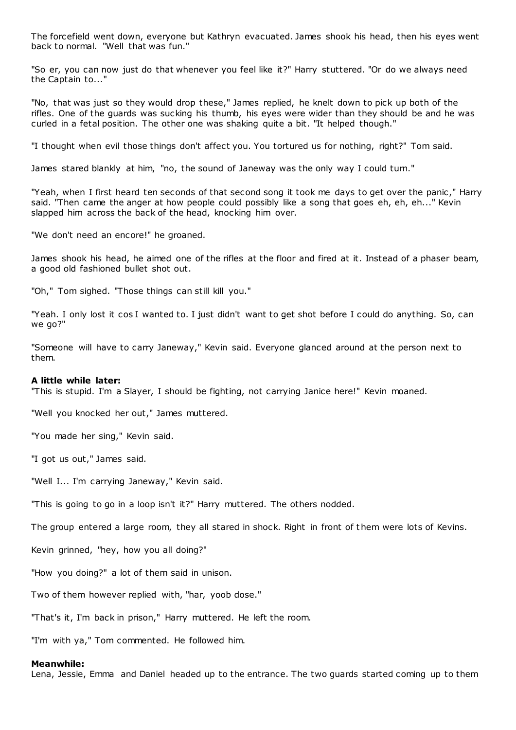The forcefield went down, everyone but Kathryn evacuated. James shook his head, then his eyes went back to normal. "Well that was fun."

"So er, you can now just do that whenever you feel like it?" Harry stuttered. "Or do we always need the Captain to..."

"No, that was just so they would drop these," James replied, he knelt down to pick up both of the rifles. One of the guards was sucking his thumb, his eyes were wider than they should be and he was curled in a fetal position. The other one was shaking quite a bit. "It helped though."

"I thought when evil those things don't affect you. You tortured us for nothing, right?" Tom said.

James stared blankly at him, "no, the sound of Janeway was the only way I could turn."

"Yeah, when I first heard ten seconds of that second song it took me days to get over the panic ," Harry said. "Then came the anger at how people could possibly like a song that goes eh, eh, eh..." Kevin slapped him across the back of the head, knocking him over.

"We don't need an encore!" he groaned.

James shook his head, he aimed one of the rifles at the floor and fired at it. Instead of a phaser beam, a good old fashioned bullet shot out.

"Oh," Tom sighed. "Those things can still kill you."

"Yeah. I only lost it cos I wanted to. I just didn't want to get shot before I could do anything. So, can we go?"

"Someone will have to carry Janeway," Kevin said. Everyone glanced around at the person next to them.

# **A little while later:**

"This is stupid. I'm a Slayer, I should be fighting, not carrying Janice here!" Kevin moaned.

"Well you knocked her out," James muttered.

"You made her sing," Kevin said.

"I got us out," James said.

"Well I... I'm carrying Janeway," Kevin said.

"This is going to go in a loop isn't it?" Harry muttered. The others nodded.

The group entered a large room, they all stared in shock. Right in front of them were lots of Kevins.

Kevin grinned, "hey, how you all doing?"

"How you doing?" a lot of them said in unison.

Two of them however replied with, "har, yoob dose."

"That's it, I'm back in prison," Harry muttered. He left the room.

"I'm with ya," Tom commented. He followed him.

# **Meanwhile:**

Lena, Jessie, Emma and Daniel headed up to the entrance. The two guards started coming up to them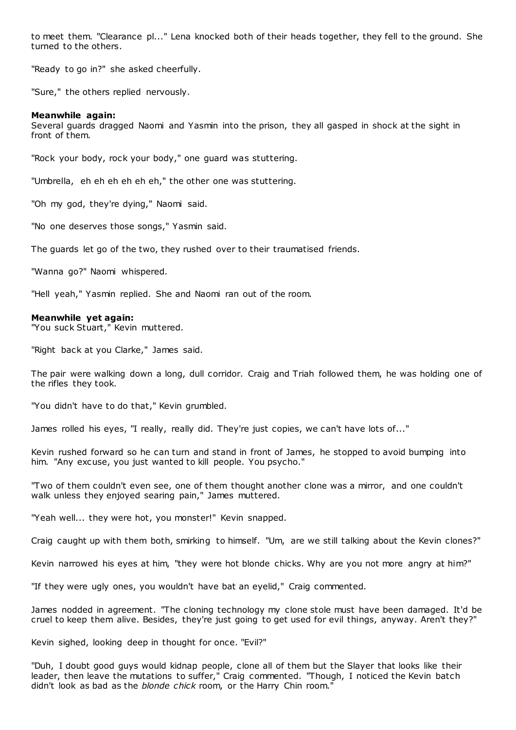to meet them. "Clearance pl..." Lena knocked both of their heads together, they fell to the ground. She turned to the others.

"Ready to go in?" she asked cheerfully.

"Sure," the others replied nervously.

# **Meanwhile again:**

Several guards dragged Naomi and Yasmin into the prison, they all gasped in shock at the sight in front of them.

"Rock your body, rock your body," one guard was stuttering.

"Umbrella, eh eh eh eh eh eh," the other one was stuttering.

"Oh my god, they're dying," Naomi said.

"No one deserves those songs," Yasmin said.

The guards let go of the two, they rushed over to their traumatised friends.

"Wanna go?" Naomi whispered.

"Hell yeah," Yasmin replied. She and Naomi ran out of the room.

# **Meanwhile yet again:**

"You suck Stuart," Kevin muttered.

"Right back at you Clarke," James said.

The pair were walking down a long, dull corridor. Craig and Triah followed them, he was holding one of the rifles they took.

"You didn't have to do that," Kevin grumbled.

James rolled his eyes, "I really, really did. They're just copies, we can't have lots of..."

Kevin rushed forward so he can turn and stand in front of James, he stopped to avoid bumping into him. "Any excuse, you just wanted to kill people. You psycho."

"Two of them couldn't even see, one of them thought another clone was a mirror, and one couldn't walk unless they enjoyed searing pain," James muttered.

"Yeah well... they were hot, you monster!" Kevin snapped.

Craig caught up with them both, smirking to himself. "Um, are we still talking about the Kevin clones?"

Kevin narrowed his eyes at him, "they were hot blonde chicks. Why are you not more angry at him?"

"If they were ugly ones, you wouldn't have bat an eyelid," Craig commented.

James nodded in agreement. "The cloning technology my clone stole must have been damaged. It'd be cruel to keep them alive. Besides, they're just going to get used for evil things, anyway. Aren't they?"

Kevin sighed, looking deep in thought for once. "Evil?"

"Duh, I doubt good guys would kidnap people, clone all of them but the Slayer that looks like their leader, then leave the mutations to suffer," Craig commented. "Though, I noticed the Kevin batch didn't look as bad as the *blonde chick* room, or the Harry Chin room."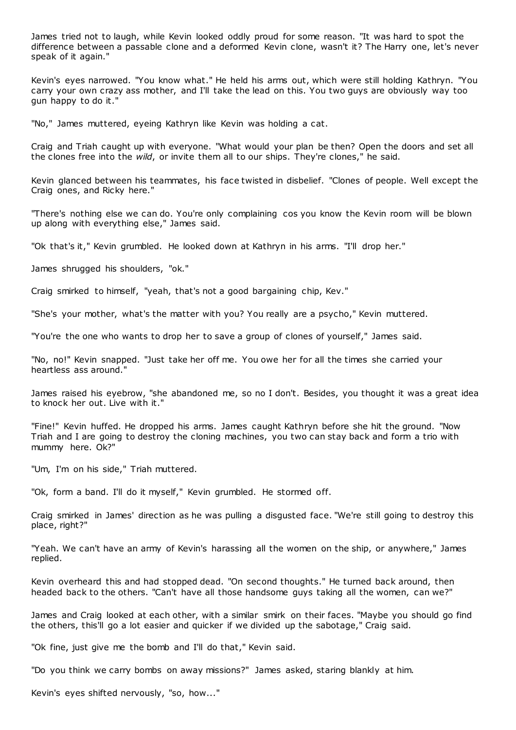James tried not to laugh, while Kevin looked oddly proud for some reason. "It was hard to spot the difference between a passable clone and a deformed Kevin clone, wasn't it? The Harry one, let's never speak of it again."

Kevin's eyes narrowed. "You know what." He held his arms out, which were still holding Kathryn. "You carry your own crazy ass mother, and I'll take the lead on this. You two guys are obviously way too gun happy to do it."

"No," James muttered, eyeing Kathryn like Kevin was holding a cat.

Craig and Triah caught up with everyone. "What would your plan be then? Open the doors and set all the clones free into the *wild*, or invite them all to our ships. They're clones," he said.

Kevin glanced between his teammates, his face twisted in disbelief. "Clones of people. Well except the Craig ones, and Ricky here."

"There's nothing else we can do. You're only complaining cos you know the Kevin room will be blown up along with everything else," James said.

"Ok that's it," Kevin grumbled. He looked down at Kathryn in his arms. "I'll drop her."

James shrugged his shoulders, "ok."

Craig smirked to himself, "yeah, that's not a good bargaining chip, Kev."

"She's your mother, what's the matter with you? You really are a psycho," Kevin muttered.

"You're the one who wants to drop her to save a group of clones of yourself," James said.

"No, no!" Kevin snapped. "Just take her off me. You owe her for all the times she carried your heartless ass around."

James raised his eyebrow, "she abandoned me, so no I don't. Besides, you thought it was a great idea to knock her out. Live with it."

"Fine!" Kevin huffed. He dropped his arms. James caught Kathryn before she hit the ground. "Now Triah and I are going to destroy the cloning machines, you two can stay back and form a trio with mummy here. Ok?"

"Um, I'm on his side," Triah muttered.

"Ok, form a band. I'll do it myself," Kevin grumbled. He stormed off.

Craig smirked in James' direction as he was pulling a disgusted face. "We're still going to destroy this place, right?"

"Yeah. We can't have an army of Kevin's harassing all the women on the ship, or anywhere," James replied.

Kevin overheard this and had stopped dead. "On second thoughts." He turned back around, then headed back to the others. "Can't have all those handsome guys taking all the women, can we?"

James and Craig looked at each other, with a similar smirk on their faces. "Maybe you should go find the others, this'll go a lot easier and quicker if we divided up the sabotage," Craig said.

"Ok fine, just give me the bomb and I'll do that," Kevin said.

"Do you think we carry bombs on away missions?" James asked, staring blankly at him.

Kevin's eyes shifted nervously, "so, how..."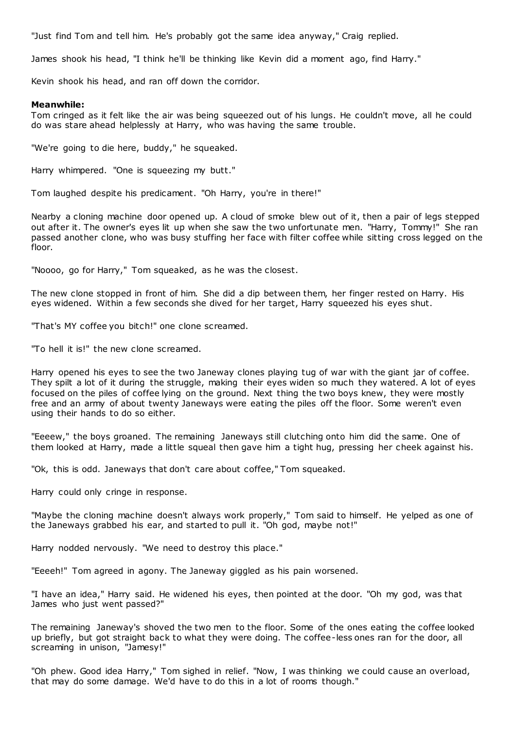"Just find Tom and tell him. He's probably got the same idea anyway," Craig replied.

James shook his head, "I think he'll be thinking like Kevin did a moment ago, find Harry."

Kevin shook his head, and ran off down the corridor.

# **Meanwhile:**

Tom cringed as it felt like the air was being squeezed out of his lungs. He couldn't move, all he could do was stare ahead helplessly at Harry, who was having the same trouble.

"We're going to die here, buddy," he squeaked.

Harry whimpered. "One is squeezing my butt."

Tom laughed despite his predicament. "Oh Harry, you're in there!"

Nearby a cloning machine door opened up. A cloud of smoke blew out of it, then a pair of legs stepped out after it. The owner's eyes lit up when she saw the two unfortunate men. "Harry, Tommy!" She ran passed another clone, who was busy stuffing her face with filter coffee while sitting cross legged on the floor.

"Noooo, go for Harry," Tom squeaked, as he was the closest.

The new clone stopped in front of him. She did a dip between them, her finger rested on Harry. His eyes widened. Within a few seconds she dived for her target, Harry squeezed his eyes shut.

"That's MY coffee you bitch!" one clone screamed.

"To hell it is!" the new clone screamed.

Harry opened his eyes to see the two Janeway clones playing tug of war with the giant jar of coffee. They spilt a lot of it during the struggle, making their eyes widen so much they watered. A lot of eyes focused on the piles of coffee lying on the ground. Next thing the two boys knew, they were mostly free and an army of about twenty Janeways were eating the piles off the floor. Some weren't even using their hands to do so either.

"Eeeew," the boys groaned. The remaining Janeways still clutching onto him did the same. One of them looked at Harry, made a little squeal then gave him a tight hug, pressing her cheek against his.

"Ok, this is odd. Janeways that don't care about coffee," Tom squeaked.

Harry could only cringe in response.

"Maybe the cloning machine doesn't always work properly," Tom said to himself. He yelped as one of the Janeways grabbed his ear, and started to pull it. "Oh god, maybe not!"

Harry nodded nervously. "We need to destroy this place."

"Eeeeh!" Tom agreed in agony. The Janeway giggled as his pain worsened.

"I have an idea," Harry said. He widened his eyes, then pointed at the door. "Oh my god, was that James who just went passed?"

The remaining Janeway's shoved the two men to the floor. Some of the ones eating the coffee looked up briefly, but got straight back to what they were doing. The coffee-less ones ran for the door, all screaming in unison, "Jamesy!"

"Oh phew. Good idea Harry," Tom sighed in relief. "Now, I was thinking we could cause an overload, that may do some damage. We'd have to do this in a lot of rooms though."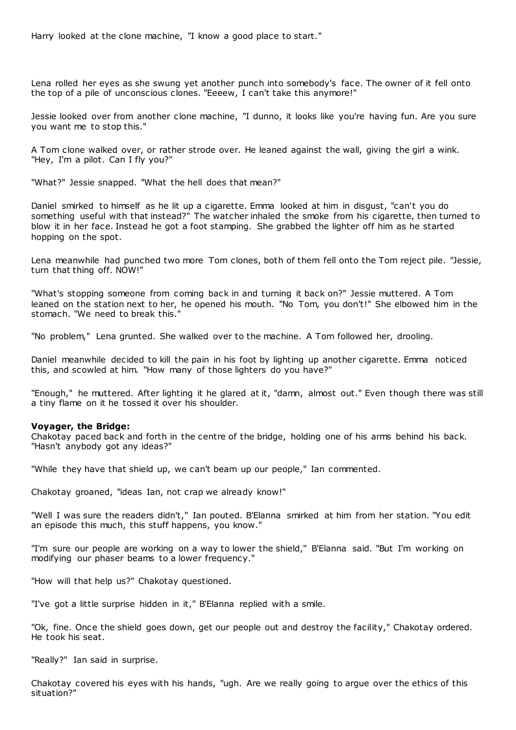Harry looked at the clone machine, "I know a good place to start."

Lena rolled her eyes as she swung yet another punch into somebody's face. The owner of it fell onto the top of a pile of unconscious clones. "Eeeew, I can't take this anymore!"

Jessie looked over from another clone machine, "I dunno, it looks like you're having fun. Are you sure you want me to stop this."

A Tom clone walked over, or rather strode over. He leaned against the wall, giving the girl a wink. "Hey, I'm a pilot. Can I fly you?"

"What?" Jessie snapped. "What the hell does that mean?"

Daniel smirked to himself as he lit up a cigarette. Emma looked at him in disgust, "can't you do something useful with that instead?" The watcher inhaled the smoke from his cigarette, then turned to blow it in her face. Instead he got a foot stamping. She grabbed the lighter off him as he started hopping on the spot.

Lena meanwhile had punched two more Tom clones, both of them fell onto the Tom reject pile. "Jessie, turn that thing off. NOW!"

"What's stopping someone from coming back in and turning it back on?" Jessie muttered. A Tom leaned on the station next to her, he opened his mouth. "No Tom, you don't!" She elbowed him in the stomach. "We need to break this."

"No problem," Lena grunted. She walked over to the machine. A Tom followed her, drooling.

Daniel meanwhile decided to kill the pain in his foot by lighting up another cigarette. Emma noticed this, and scowled at him. "How many of those lighters do you have?"

"Enough," he muttered. After lighting it he glared at it, "damn, almost out." Even though there was still a tiny flame on it he tossed it over his shoulder.

# **Voyager, the Bridge:**

Chakotay paced back and forth in the centre of the bridge, holding one of his arms behind his back. "Hasn't anybody got any ideas?"

"While they have that shield up, we can't beam up our people," Ian commented.

Chakotay groaned, "ideas Ian, not crap we already know!"

"Well I was sure the readers didn't," Ian pouted. B'Elanna smirked at him from her station. "You edit an episode this much, this stuff happens, you know."

"I'm sure our people are working on a way to lower the shield," B'Elanna said. "But I'm working on modifying our phaser beams to a lower frequency."

"How will that help us?" Chakotay questioned.

"I've got a little surprise hidden in it," B'Elanna replied with a smile.

"Ok, fine. Once the shield goes down, get our people out and destroy the facility," Chakotay ordered. He took his seat.

"Really?" Ian said in surprise.

Chakotay covered his eyes with his hands, "ugh. Are we really going to argue over the ethics of this situation?"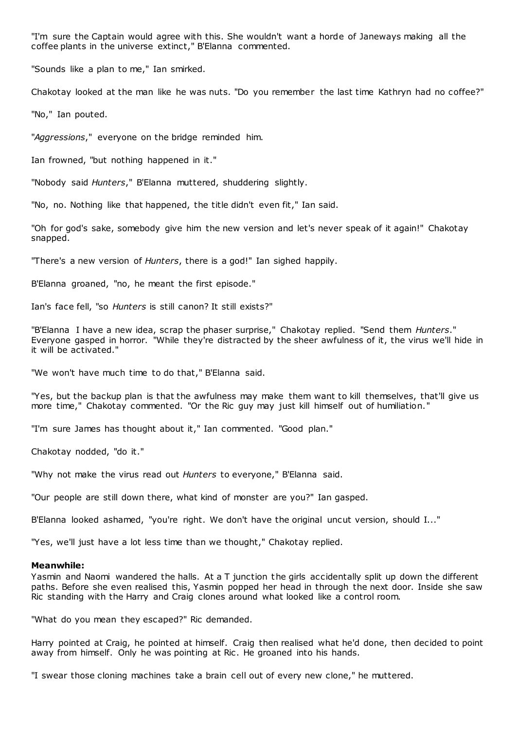"I'm sure the Captain would agree with this. She wouldn't want a horde of Janeways making all the coffee plants in the universe extinct," B'Elanna commented.

"Sounds like a plan to me," Ian smirked.

Chakotay looked at the man like he was nuts. "Do you remember the last time Kathryn had no coffee?"

"No," Ian pouted.

"*Aggressions*," everyone on the bridge reminded him.

Ian frowned, "but nothing happened in it."

"Nobody said *Hunters*," B'Elanna muttered, shuddering slightly.

"No, no. Nothing like that happened, the title didn't even fit," Ian said.

"Oh for god's sake, somebody give him the new version and let's never speak of it again!" Chakotay snapped.

"There's a new version of *Hunters*, there is a god!" Ian sighed happily.

B'Elanna groaned, "no, he meant the first episode."

Ian's face fell, "so *Hunters* is still canon? It still exists?"

"B'Elanna I have a new idea, scrap the phaser surprise," Chakotay replied. "Send them *Hunters*." Everyone gasped in horror. "While they're distracted by the sheer awfulness of it, the virus we'll hide in it will be activated."

"We won't have much time to do that," B'Elanna said.

"Yes, but the backup plan is that the awfulness may make them want to kill themselves, that'll give us more time," Chakotay commented. "Or the Ric guy may just kill himself out of humiliation."

"I'm sure James has thought about it," Ian commented. "Good plan."

Chakotay nodded, "do it."

"Why not make the virus read out *Hunters* to everyone," B'Elanna said.

"Our people are still down there, what kind of monster are you?" Ian gasped.

B'Elanna looked ashamed, "you're right. We don't have the original uncut version, should I..."

"Yes, we'll just have a lot less time than we thought," Chakotay replied.

# **Meanwhile:**

Yasmin and Naomi wandered the halls. At a T junction the girls accidentally split up down the different paths. Before she even realised this, Yasmin popped her head in through the next door. Inside she saw Ric standing with the Harry and Craig clones around what looked like a control room.

"What do you mean they escaped?" Ric demanded.

Harry pointed at Craig, he pointed at himself. Craig then realised what he'd done, then decided to point away from himself. Only he was pointing at Ric . He groaned into his hands.

"I swear those cloning machines take a brain cell out of every new clone," he muttered.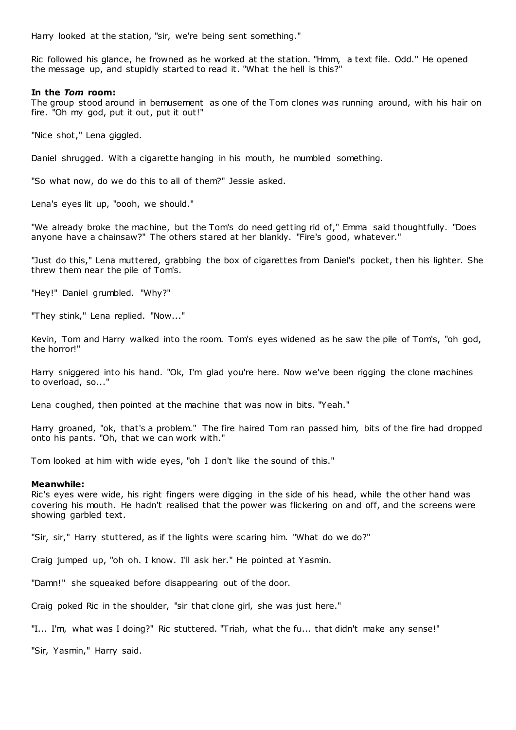Harry looked at the station, "sir, we're being sent something."

Ric followed his glance, he frowned as he worked at the station. "Hmm, a text file. Odd." He opened the message up, and stupidly started to read it. "What the hell is this?"

# **In the** *Tom* **room:**

The group stood around in bemusement as one of the Tom clones was running around, with his hair on fire. "Oh my god, put it out, put it out!"

"Nice shot," Lena giggled.

Daniel shrugged. With a cigarette hanging in his mouth, he mumbled something.

"So what now, do we do this to all of them?" Jessie asked.

Lena's eyes lit up, "oooh, we should."

"We already broke the machine, but the Tom's do need getting rid of," Emma said thoughtfully. "Does anyone have a chainsaw?" The others stared at her blankly. "Fire's good, whatever."

"Just do this," Lena muttered, grabbing the box of cigarettes from Daniel's pocket, then his lighter. She threw them near the pile of Tom's.

"Hey!" Daniel grumbled. "Why?"

"They stink," Lena replied. "Now..."

Kevin, Tom and Harry walked into the room. Tom's eyes widened as he saw the pile of Tom's, "oh god, the horror!"

Harry sniggered into his hand. "Ok, I'm glad you're here. Now we've been rigging the clone machines to overload, so..."

Lena coughed, then pointed at the machine that was now in bits. "Yeah."

Harry groaned, "ok, that's a problem." The fire haired Tom ran passed him, bits of the fire had dropped onto his pants. "Oh, that we can work with."

Tom looked at him with wide eyes, "oh I don't like the sound of this."

# **Meanwhile:**

Ric's eyes were wide, his right fingers were digging in the side of his head, while the other hand was covering his mouth. He hadn't realised that the power was flickering on and off, and the screens were showing garbled text.

"Sir, sir," Harry stuttered, as if the lights were scaring him. "What do we do?"

Craig jumped up, "oh oh. I know. I'll ask her." He pointed at Yasmin.

"Damn!" she squeaked before disappearing out of the door.

Craig poked Ric in the shoulder, "sir that clone girl, she was just here."

"I... I'm, what was I doing?" Ric stuttered. "Triah, what the fu... that didn't make any sense!"

"Sir, Yasmin," Harry said.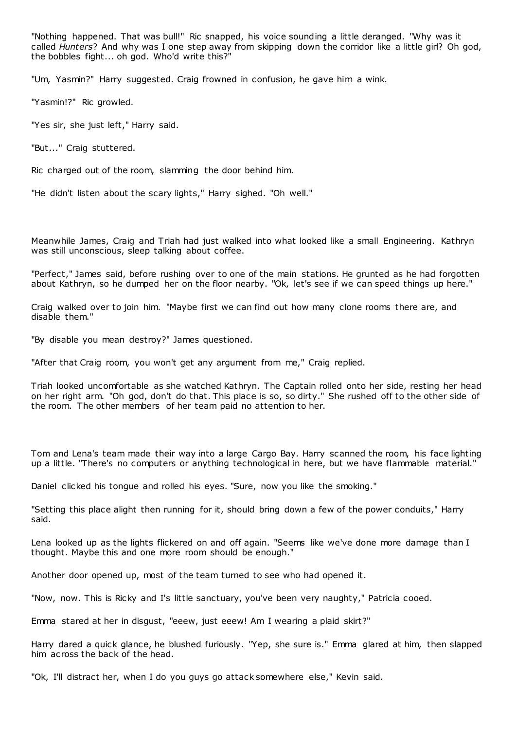"Nothing happened. That was bull!" Ric snapped, his voice sounding a little deranged. "Why was it called *Hunters*? And why was I one step away from skipping down the corridor like a little girl? Oh god, the bobbles fight... oh god. Who'd write this?"

"Um, Yasmin?" Harry suggested. Craig frowned in confusion, he gave him a wink.

"Yasmin!?" Ric growled.

"Yes sir, she just left," Harry said.

"But..." Craig stuttered.

Ric charged out of the room, slamming the door behind him.

"He didn't listen about the scary lights," Harry sighed. "Oh well."

Meanwhile James, Craig and Triah had just walked into what looked like a small Engineering. Kathryn was still unconscious, sleep talking about coffee.

"Perfect," James said, before rushing over to one of the main stations. He grunted as he had forgotten about Kathryn, so he dumped her on the floor nearby. "Ok, let's see if we can speed things up here."

Craig walked over to join him. "Maybe first we can find out how many clone rooms there are, and disable them."

"By disable you mean destroy?" James questioned.

"After that Craig room, you won't get any argument from me," Craig replied.

Triah looked uncomfortable as she watched Kathryn. The Captain rolled onto her side, resting her head on her right arm. "Oh god, don't do that. This place is so, so dirty." She rushed off to the other side of the room. The other members of her team paid no attention to her.

Tom and Lena's team made their way into a large Cargo Bay. Harry scanned the room, his face lighting up a little. "There's no computers or anything technological in here, but we have flammable material."

Daniel clicked his tongue and rolled his eyes. "Sure, now you like the smoking."

"Setting this place alight then running for it, should bring down a few of the power conduits," Harry said.

Lena looked up as the lights flickered on and off again. "Seems like we've done more damage than I thought. Maybe this and one more room should be enough."

Another door opened up, most of the team turned to see who had opened it.

"Now, now. This is Ricky and I's little sanctuary, you've been very naughty," Patricia cooed.

Emma stared at her in disgust, "eeew, just eeew! Am I wearing a plaid skirt?"

Harry dared a quick glance, he blushed furiously. "Yep, she sure is." Emma glared at him, then slapped him across the back of the head.

"Ok, I'll distract her, when I do you guys go attack somewhere else," Kevin said.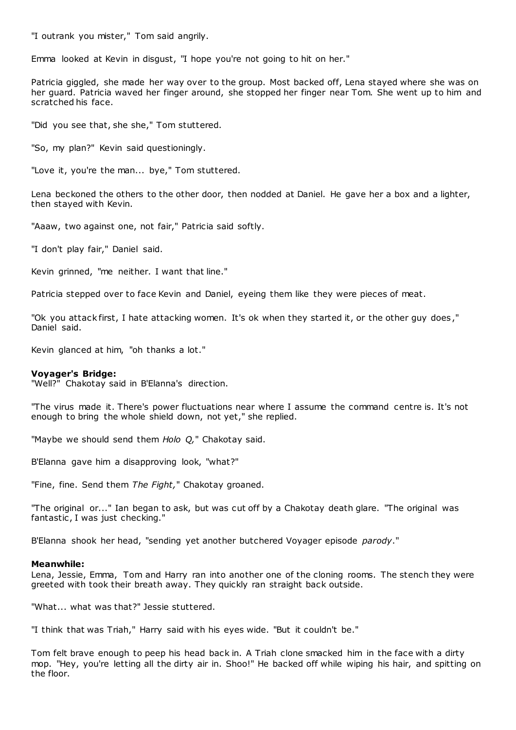"I outrank you mister," Tom said angrily.

Emma looked at Kevin in disgust, "I hope you're not going to hit on her."

Patricia giggled, she made her way over to the group. Most backed off, Lena stayed where she was on her guard. Patricia waved her finger around, she stopped her finger near Tom. She went up to him and scratched his face.

"Did you see that, she she," Tom stuttered.

"So, my plan?" Kevin said questioningly.

"Love it, you're the man... bye," Tom stuttered.

Lena beckoned the others to the other door, then nodded at Daniel. He gave her a box and a lighter, then stayed with Kevin.

"Aaaw, two against one, not fair," Patricia said softly.

"I don't play fair," Daniel said.

Kevin grinned, "me neither. I want that line."

Patricia stepped over to face Kevin and Daniel, eyeing them like they were pieces of meat.

"Ok you attack first, I hate attacking women. It's ok when they started it, or the other guy does ," Daniel said.

Kevin glanced at him, "oh thanks a lot."

# **Voyager's Bridge:**

"Well?" Chakotay said in B'Elanna's direction.

"The virus made it. There's power fluctuations near where I assume the command centre is. It's not enough to bring the whole shield down, not yet," she replied.

"Maybe we should send them *Holo Q,*" Chakotay said.

B'Elanna gave him a disapproving look, "what?"

"Fine, fine. Send them *The Fight,*" Chakotay groaned.

"The original or..." Ian began to ask, but was cut off by a Chakotay death glare. "The original was fantastic, I was just checking."

B'Elanna shook her head, "sending yet another butchered Voyager episode *parody*."

# **Meanwhile:**

Lena, Jessie, Emma, Tom and Harry ran into another one of the cloning rooms. The stench they were greeted with took their breath away. They quickly ran straight back outside.

"What... what was that?" Jessie stuttered.

"I think that was Triah," Harry said with his eyes wide. "But it couldn't be."

Tom felt brave enough to peep his head back in. A Triah clone smacked him in the face with a dirty mop. "Hey, you're letting all the dirty air in. Shoo!" He backed off while wiping his hair, and spitting on the floor.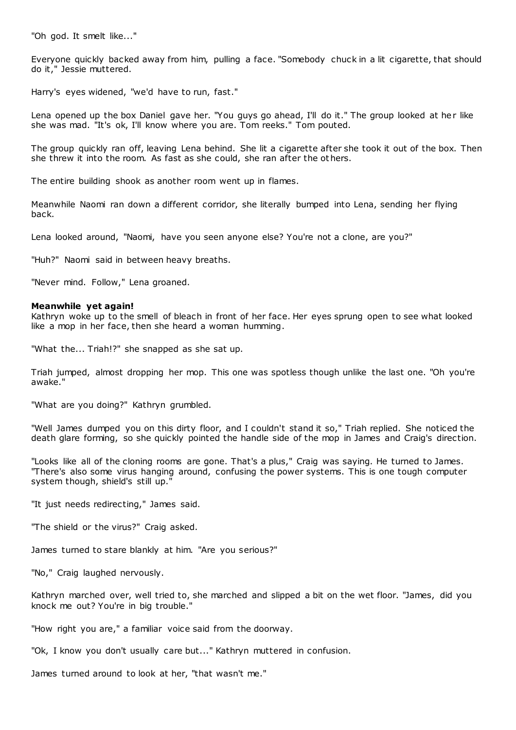"Oh god. It smelt like..."

Everyone quickly backed away from him, pulling a face. "Somebody chuck in a lit cigarette, that should do it," Jessie muttered.

Harry's eyes widened, "we'd have to run, fast."

Lena opened up the box Daniel gave her. "You guys go ahead, I'll do it." The group looked at her like she was mad. "It's ok, I'll know where you are. Tom reeks." Tom pouted.

The group quickly ran off, leaving Lena behind. She lit a cigarette after she took it out of the box. Then she threw it into the room. As fast as she could, she ran after the ot hers.

The entire building shook as another room went up in flames.

Meanwhile Naomi ran down a different corridor, she literally bumped into Lena, sending her flying back.

Lena looked around, "Naomi, have you seen anyone else? You're not a clone, are you?"

"Huh?" Naomi said in between heavy breaths.

"Never mind. Follow," Lena groaned.

# **Meanwhile yet again!**

Kathryn woke up to the smell of bleach in front of her face. Her eyes sprung open to see what looked like a mop in her face, then she heard a woman humming.

"What the... Triah!?" she snapped as she sat up.

Triah jumped, almost dropping her mop. This one was spotless though unlike the last one. "Oh you're awake."

"What are you doing?" Kathryn grumbled.

"Well James dumped you on this dirty floor, and I couldn't stand it so," Triah replied. She noticed the death glare forming, so she quickly pointed the handle side of the mop in James and Craig's direction.

"Looks like all of the cloning rooms are gone. That's a plus," Craig was saying. He turned to James. "There's also some virus hanging around, confusing the power systems. This is one tough computer system though, shield's still up."

"It just needs redirecting," James said.

"The shield or the virus?" Craig asked.

James turned to stare blankly at him. "Are you serious?"

"No," Craig laughed nervously.

Kathryn marched over, well tried to, she marched and slipped a bit on the wet floor. "James, did you knock me out? You're in big trouble."

"How right you are," a familiar voice said from the doorway.

"Ok, I know you don't usually care but..." Kathryn muttered in confusion.

James turned around to look at her, "that wasn't me."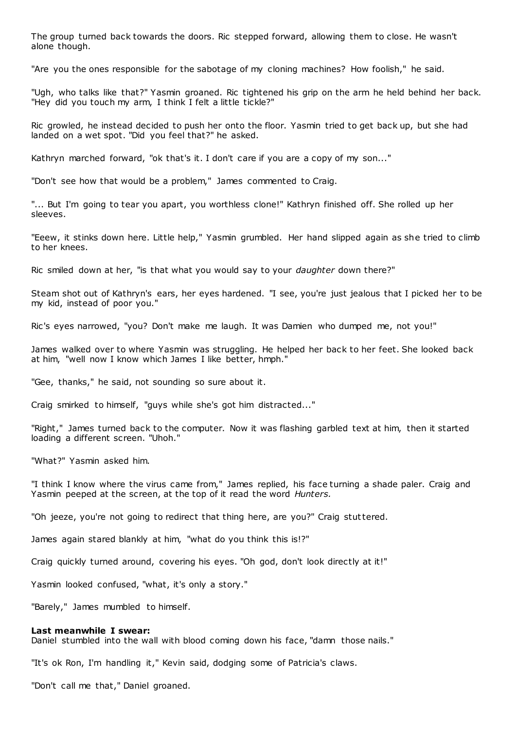The group turned back towards the doors. Ric stepped forward, allowing them to close. He wasn't alone though.

"Are you the ones responsible for the sabotage of my cloning machines? How foolish," he said.

"Ugh, who talks like that?" Yasmin groaned. Ric tightened his grip on the arm he held behind her back. "Hey did you touch my arm, I think I felt a little tickle?"

Ric growled, he instead decided to push her onto the floor. Yasmin tried to get back up, but she had landed on a wet spot. "Did you feel that?" he asked.

Kathryn marched forward, "ok that's it. I don't care if you are a copy of my son..."

"Don't see how that would be a problem," James commented to Craig.

"... But I'm going to tear you apart, you worthless clone!" Kathryn finished off. She rolled up her sleeves.

"Eeew, it stinks down here. Little help," Yasmin grumbled. Her hand slipped again as she tried to climb to her knees.

Ric smiled down at her, "is that what you would say to your *daughter* down there?"

Steam shot out of Kathryn's ears, her eyes hardened. "I see, you're just jealous that I picked her to be my kid, instead of poor you."

Ric's eyes narrowed, "you? Don't make me laugh. It was Damien who dumped me, not you!"

James walked over to where Yasmin was struggling. He helped her back to her feet. She looked back at him, "well now I know which James I like better, hmph."

"Gee, thanks," he said, not sounding so sure about it.

Craig smirked to himself, "guys while she's got him distracted..."

"Right," James turned back to the computer. Now it was flashing garbled text at him, then it started loading a different screen. "Uhoh."

"What?" Yasmin asked him.

"I think I know where the virus came from," James replied, his face turning a shade paler. Craig and Yasmin peeped at the screen, at the top of it read the word *Hunters.*

"Oh jeeze, you're not going to redirect that thing here, are you?" Craig stuttered.

James again stared blankly at him, "what do you think this is!?"

Craig quickly turned around, covering his eyes. "Oh god, don't look directly at it!"

Yasmin looked confused, "what, it's only a story."

"Barely," James mumbled to himself.

# **Last meanwhile I swear:**

Daniel stumbled into the wall with blood coming down his face, "damn those nails."

"It's ok Ron, I'm handling it," Kevin said, dodging some of Patricia's claws.

"Don't call me that," Daniel groaned.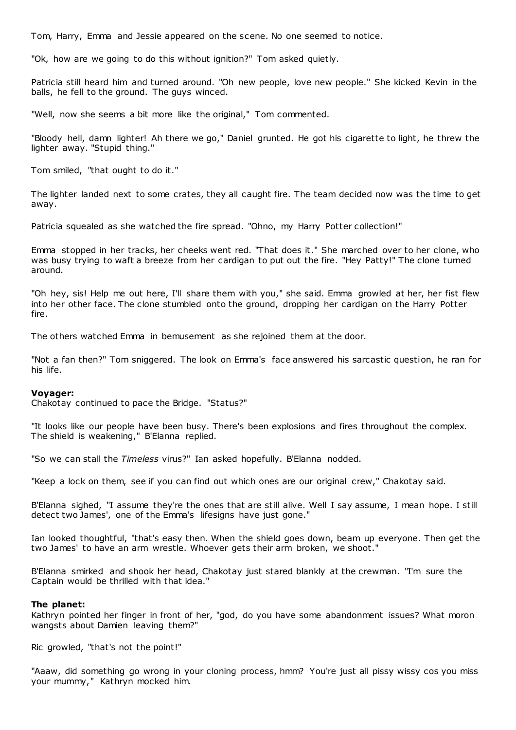Tom, Harry, Emma and Jessie appeared on the scene. No one seemed to notice.

"Ok, how are we going to do this without ignition?" Tom asked quietly.

Patricia still heard him and turned around. "Oh new people, love new people." She kicked Kevin in the balls, he fell to the ground. The guys winced.

"Well, now she seems a bit more like the original," Tom commented.

"Bloody hell, damn lighter! Ah there we go," Daniel grunted. He got his cigarette to light, he threw the lighter away. "Stupid thing."

Tom smiled, "that ought to do it."

The lighter landed next to some crates, they all caught fire. The team decided now was the time to get away.

Patricia squealed as she watched the fire spread. "Ohno, my Harry Potter collection!"

Emma stopped in her tracks, her cheeks went red. "That does it." She marched over to her clone, who was busy trying to waft a breeze from her cardigan to put out the fire. "Hey Patty!" The clone turned around.

"Oh hey, sis! Help me out here, I'll share them with you," she said. Emma growled at her, her fist flew into her other face. The clone stumbled onto the ground, dropping her cardigan on the Harry Potter fire.

The others watched Emma in bemusement as she rejoined them at the door.

"Not a fan then?" Tom sniggered. The look on Emma's face answered his sarcastic question, he ran for his life.

# **Voyager:**

Chakotay continued to pace the Bridge. "Status?"

"It looks like our people have been busy. There's been explosions and fires throughout the complex. The shield is weakening," B'Elanna replied.

"So we can stall the *Timeless* virus?" Ian asked hopefully. B'Elanna nodded.

"Keep a lock on them, see if you can find out which ones are our original crew," Chakotay said.

B'Elanna sighed, "I assume they're the ones that are still alive. Well I say assume, I mean hope. I still detect two James', one of the Emma's lifesigns have just gone."

Ian looked thoughtful, "that's easy then. When the shield goes down, beam up everyone. Then get the two James' to have an arm wrestle. Whoever gets their arm broken, we shoot."

B'Elanna smirked and shook her head, Chakotay just stared blankly at the crewman. "I'm sure the Captain would be thrilled with that idea."

# **The planet:**

Kathryn pointed her finger in front of her, "god, do you have some abandonment issues? What moron wangsts about Damien leaving them?"

Ric growled, "that's not the point!"

"Aaaw, did something go wrong in your cloning process, hmm? You're just all pissy wissy cos you miss your mummy," Kathryn mocked him.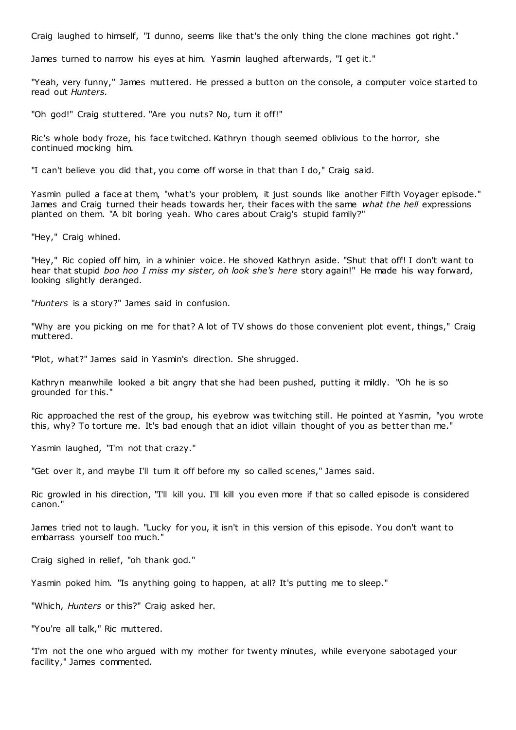Craig laughed to himself, "I dunno, seems like that's the only thing the clone machines got right."

James turned to narrow his eyes at him. Yasmin laughed afterwards, "I get it."

"Yeah, very funny," James muttered. He pressed a button on the console, a computer voice started to read out *Hunters.*

"Oh god!" Craig stuttered. "Are you nuts? No, turn it off!"

Ric's whole body froze, his face twitched. Kathryn though seemed oblivious to the horror, she continued mocking him.

"I can't believe you did that, you come off worse in that than I do," Craig said.

Yasmin pulled a face at them, "what's your problem, it just sounds like another Fifth Voyager episode." James and Craig turned their heads towards her, their faces with the same *what the hell* expressions planted on them. "A bit boring yeah. Who cares about Craig's stupid family?"

"Hey," Craig whined.

"Hey," Ric copied off him, in a whinier voice. He shoved Kathryn aside. "Shut that off! I don't want to hear that stupid *boo hoo I miss my sister, oh look she's here* story again!" He made his way forward, looking slightly deranged.

"*Hunters* is a story?" James said in confusion.

"Why are you picking on me for that? A lot of TV shows do those convenient plot event, things," Craig muttered.

"Plot, what?" James said in Yasmin's direction. She shrugged.

Kathryn meanwhile looked a bit angry that she had been pushed, putting it mildly. "Oh he is so grounded for this."

Ric approached the rest of the group, his eyebrow was twitching still. He pointed at Yasmin, "you wrote this, why? To torture me. It's bad enough that an idiot villain thought of you as better than me."

Yasmin laughed, "I'm not that crazy."

"Get over it, and maybe I'll turn it off before my so called scenes," James said.

Ric growled in his direction, "I'll kill you. I'll kill you even more if that so called episode is considered canon."

James tried not to laugh. "Lucky for you, it isn't in this version of this episode. You don't want to embarrass yourself too much."

Craig sighed in relief, "oh thank god."

Yasmin poked him. "Is anything going to happen, at all? It's putting me to sleep."

"Which, *Hunters* or this?" Craig asked her.

"You're all talk," Ric muttered.

"I'm not the one who argued with my mother for twenty minutes, while everyone sabotaged your facility," James commented.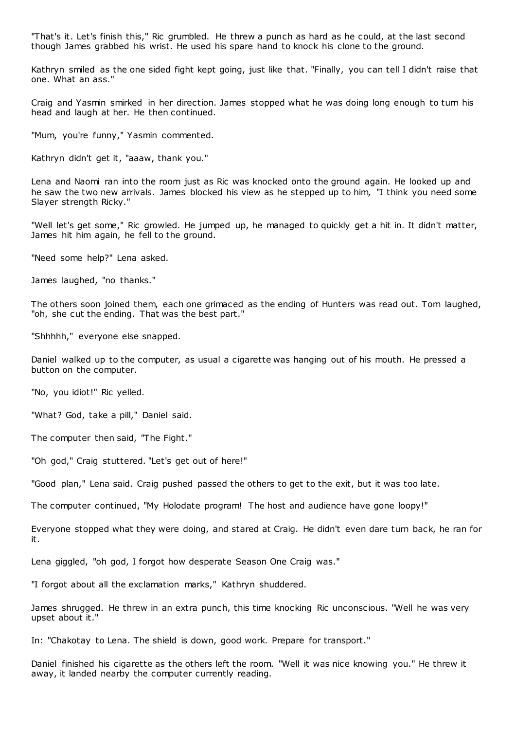"That's it. Let's finish this," Ric grumbled. He threw a punch as hard as he could, at the last second though James grabbed his wrist. He used his spare hand to knock his clone to the ground.

Kathryn smiled as the one sided fight kept going, just like that. "Finally, you can tell I didn't raise that one. What an ass."

Craig and Yasmin smirked in her direction. James stopped what he was doing long enough to turn his head and laugh at her. He then continued.

"Mum, you're funny," Yasmin commented.

Kathryn didn't get it, "aaaw, thank you."

Lena and Naomi ran into the room just as Ric was knocked onto the ground again. He looked up and he saw the two new arrivals. James blocked his view as he stepped up to him, "I think you need some Slayer strength Ricky."

"Well let's get some," Ric growled. He jumped up, he managed to quickly get a hit in. It didn't matter, James hit him again, he fell to the ground.

"Need some help?" Lena asked.

James laughed, "no thanks."

The others soon joined them, each one grimaced as the ending of Hunters was read out. Tom laughed, "oh, she cut the ending. That was the best part."

"Shhhhh," everyone else snapped.

Daniel walked up to the computer, as usual a cigarette was hanging out of his mouth. He pressed a button on the computer.

"No, you idiot!" Ric yelled.

"What? God, take a pill," Daniel said.

The computer then said, "The Fight."

"Oh god," Craig stuttered. "Let's get out of here!"

"Good plan," Lena said. Craig pushed passed the others to get to the exit, but it was too late.

The computer continued, "My Holodate program! The host and audience have gone loopy!"

Everyone stopped what they were doing, and stared at Craig. He didn't even dare turn back, he ran for it.

Lena giggled, "oh god, I forgot how desperate Season One Craig was."

"I forgot about all the exclamation marks," Kathryn shuddered.

James shrugged. He threw in an extra punch, this time knocking Ric unconscious. "Well he was very upset about it."

In: "Chakotay to Lena. The shield is down, good work. Prepare for transport."

Daniel finished his cigarette as the others left the room. "Well it was nice knowing you." He threw it away, it landed nearby the computer currently reading.